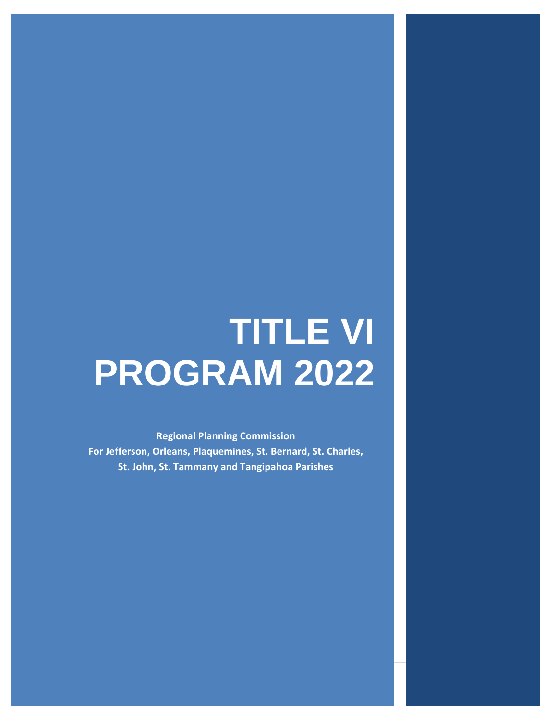# **TITLE VI PROGRAM 2022**

**Regional Planning Commission For Jefferson, Orleans, Plaquemines, St. Bernard, St. Charles, St. John, St. Tammany and Tangipahoa Parishes**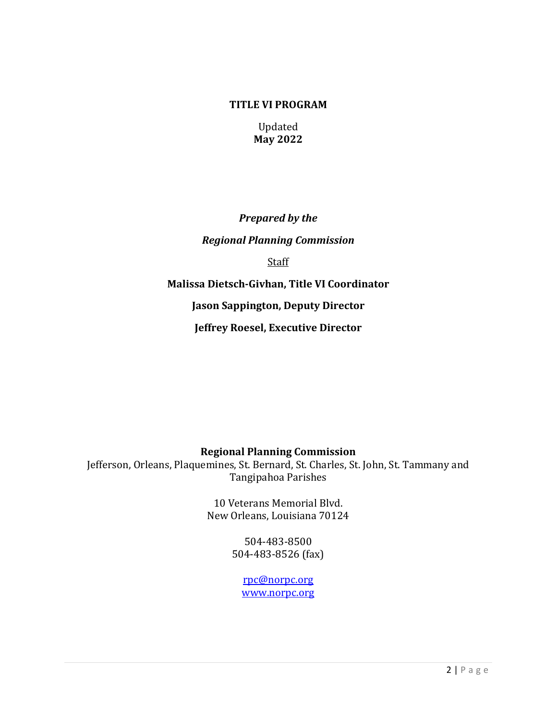#### **TITLE VI PROGRAM**

Updated **May 2022** 

*Prepared by the Regional Planning Commission*  Staff **Malissa Dietsch-Givhan, Title VI Coordinator Jason Sappington, Deputy Director Jeffrey Roesel, Executive Director** 

**Regional Planning Commission** 

Jefferson, Orleans, Plaquemines, St. Bernard, St. Charles, St. John, St. Tammany and Tangipahoa Parishes

> 10 Veterans Memorial Blvd. New Orleans, Louisiana 70124

> > 504-483-8500 504-483-8526 (fax)

> > > [rpc@norpc.org](mailto:rpc@norpc.org) [www.norpc.org](http://www.norpc.org/)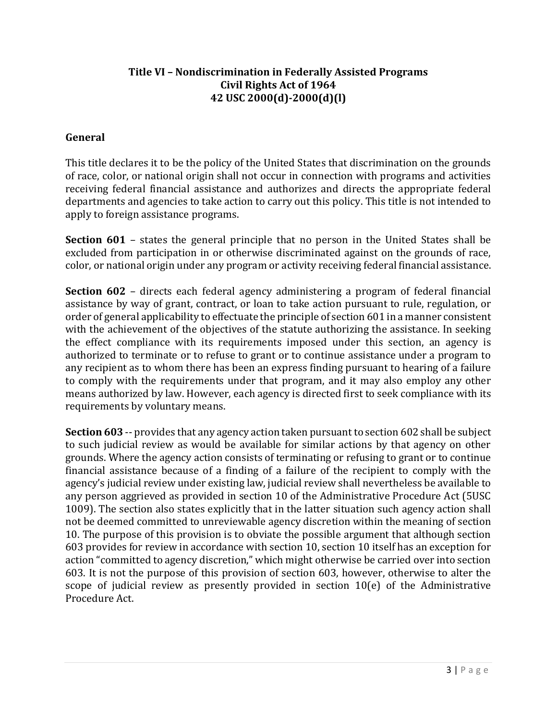# **Title VI – Nondiscrimination in Federally Assisted Programs Civil Rights Act of 1964 42 USC 2000(d)-2000(d)(l)**

## **General**

This title declares it to be the policy of the United States that discrimination on the grounds of race, color, or national origin shall not occur in connection with programs and activities receiving federal financial assistance and authorizes and directs the appropriate federal departments and agencies to take action to carry out this policy. This title is not intended to apply to foreign assistance programs.

**Section 601** – states the general principle that no person in the United States shall be excluded from participation in or otherwise discriminated against on the grounds of race, color, or national origin under any program or activity receiving federal financial assistance.

**Section 602** – directs each federal agency administering a program of federal financial assistance by way of grant, contract, or loan to take action pursuant to rule, regulation, or order of general applicability to effectuate the principle of section 601 in a manner consistent with the achievement of the objectives of the statute authorizing the assistance. In seeking the effect compliance with its requirements imposed under this section, an agency is authorized to terminate or to refuse to grant or to continue assistance under a program to any recipient as to whom there has been an express finding pursuant to hearing of a failure to comply with the requirements under that program, and it may also employ any other means authorized by law. However, each agency is directed first to seek compliance with its requirements by voluntary means.

**Section 603** -- provides that any agency action taken pursuant to section 602 shall be subject to such judicial review as would be available for similar actions by that agency on other grounds. Where the agency action consists of terminating or refusing to grant or to continue financial assistance because of a finding of a failure of the recipient to comply with the agency's judicial review under existing law, judicial review shall nevertheless be available to any person aggrieved as provided in section 10 of the Administrative Procedure Act (5USC 1009). The section also states explicitly that in the latter situation such agency action shall not be deemed committed to unreviewable agency discretion within the meaning of section 10. The purpose of this provision is to obviate the possible argument that although section 603 provides for review in accordance with section 10, section 10 itself has an exception for action "committed to agency discretion," which might otherwise be carried over into section 603. It is not the purpose of this provision of section 603, however, otherwise to alter the scope of judicial review as presently provided in section 10(e) of the Administrative Procedure Act.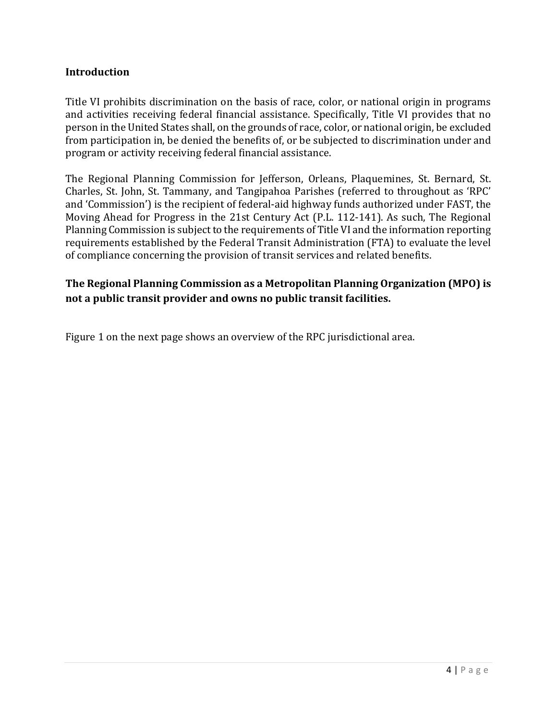#### **Introduction**

Title VI prohibits discrimination on the basis of race, color, or national origin in programs and activities receiving federal financial assistance. Specifically, Title VI provides that no person in the United States shall, on the grounds of race, color, or national origin, be excluded from participation in, be denied the benefits of, or be subjected to discrimination under and program or activity receiving federal financial assistance.

The Regional Planning Commission for Jefferson, Orleans, Plaquemines, St. Bernard, St. Charles, St. John, St. Tammany, and Tangipahoa Parishes (referred to throughout as 'RPC' and 'Commission') is the recipient of federal-aid highway funds authorized under FAST, the Moving Ahead for Progress in the 21st Century Act (P.L. 112-141). As such, The Regional Planning Commission is subject to the requirements of Title VI and the information reporting requirements established by the Federal Transit Administration (FTA) to evaluate the level of compliance concerning the provision of transit services and related benefits.

# **The Regional Planning Commission as a Metropolitan Planning Organization (MPO) is not a public transit provider and owns no public transit facilities.**

Figure 1 on the next page shows an overview of the RPC jurisdictional area.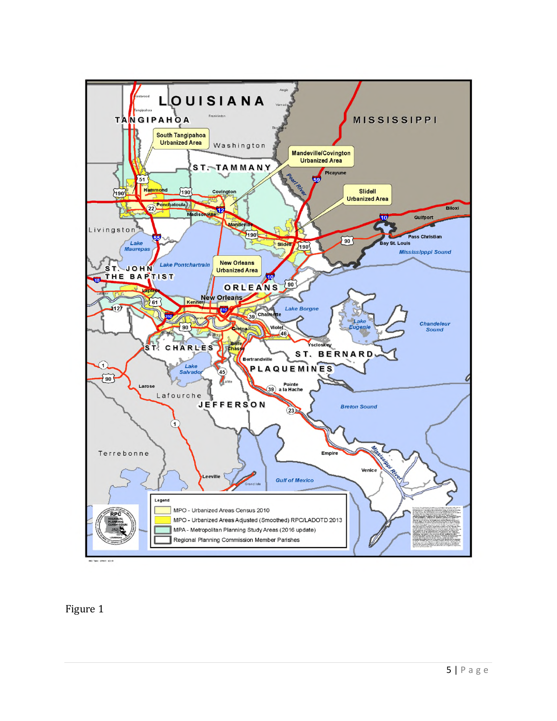

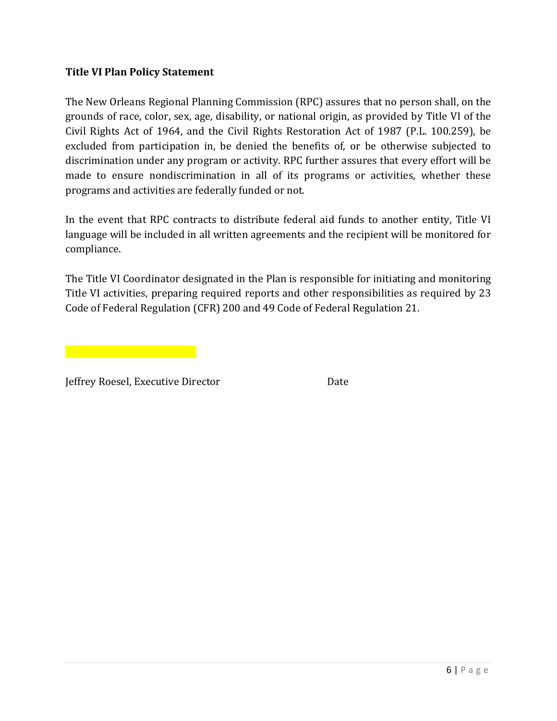# **Title VI Plan Policy Statement**

The New Orleans Regional Planning Commission (RPC) assures that no person shall, on the grounds of race, color, sex, age, disability, or national origin, as provided by Title VI of the Civil Rights Act of 1964, and the Civil Rights Restoration Act of 1987 (P.L. 100.259), be excluded from participation in, be denied the benefits of, or be otherwise subjected to discrimination under any program or activity. RPC further assures that every effort will be made to ensure nondiscrimination in all of its programs or activities, whether these programs and activities are federally funded or not.

In the event that RPC contracts to distribute federal aid funds to another entity, Title VI language will be included in all written agreements and the recipient will be monitored for compliance.

The Title VI Coordinator designated in the Plan is responsible for initiating and monitoring Title VI activities, preparing required reports and other responsibilities as required by 23 Code of Federal Regulation (CFR) 200 and 49 Code of Federal Regulation 21.

Jeffrey Roesel, Executive Director Date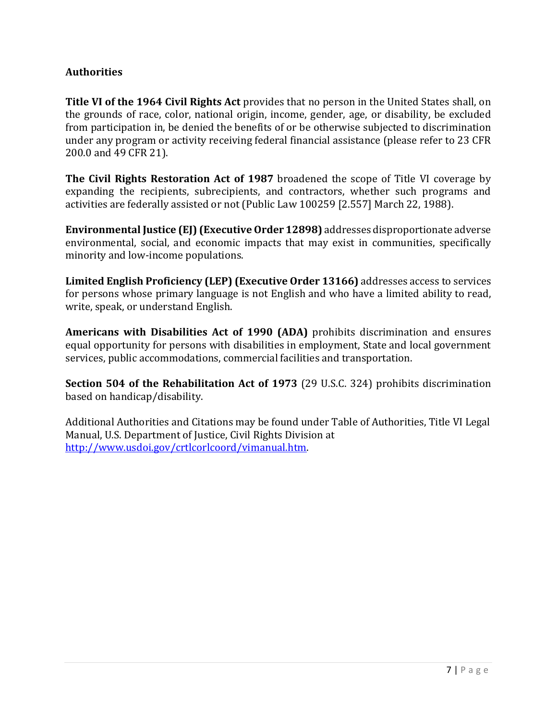# **Authorities**

**Title VI of the 1964 Civil Rights Act** provides that no person in the United States shall, on the grounds of race, color, national origin, income, gender, age, or disability, be excluded from participation in, be denied the benefits of or be otherwise subjected to discrimination under any program or activity receiving federal financial assistance (please refer to 23 CFR 200.0 and 49 CFR 21).

**The Civil Rights Restoration Act of 1987** broadened the scope of Title VI coverage by expanding the recipients, subrecipients, and contractors, whether such programs and activities are federally assisted or not (Public Law 100259 [2.557] March 22, 1988).

**Environmental Justice (EJ) (Executive Order 12898)** addresses disproportionate adverse environmental, social, and economic impacts that may exist in communities, specifically minority and low-income populations.

**Limited English Proficiency (LEP) (Executive Order 13166)** addresses access to services for persons whose primary language is not English and who have a limited ability to read, write, speak, or understand English.

**Americans with Disabilities Act of 1990 (ADA)** prohibits discrimination and ensures equal opportunity for persons with disabilities in employment, State and local government services, public accommodations, commercial facilities and transportation.

**Section 504 of the Rehabilitation Act of 1973** (29 U.S.C. 324) prohibits discrimination based on handicap/disability.

Additional Authorities and Citations may be found under Table of Authorities, Title VI Legal Manual, U.S. Department of Justice, Civil Rights Division at [http://www.usdoi.gov/crtlcorlcoord/vimanual.htm.](http://www.usdoi.gov/crtlcorlcoord/vimanual.htm)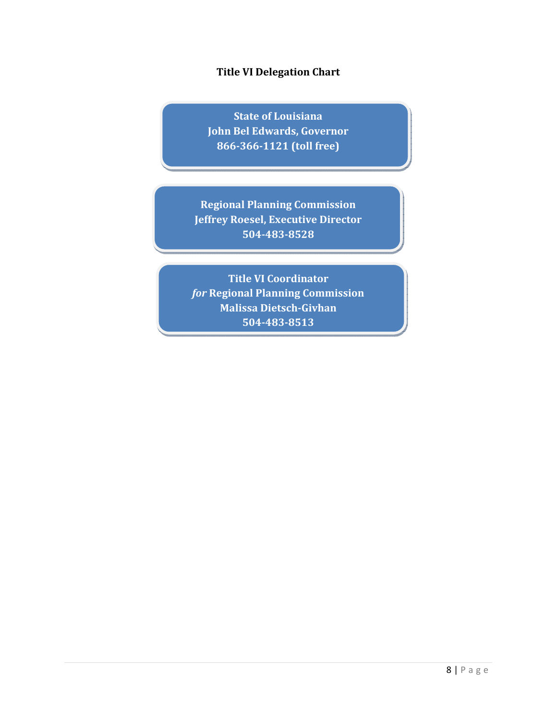# **Title VI Delegation Chart**

**State of Louisiana John Bel Edwards, Governor 866-366-1121 (toll free)** 

**Regional Planning Commission Jeffrey Roesel, Executive Director 504-483-8528** 

**Title VI Coordinator**  *for* **Regional Planning Commission Malissa Dietsch-Givhan 504-483-8513**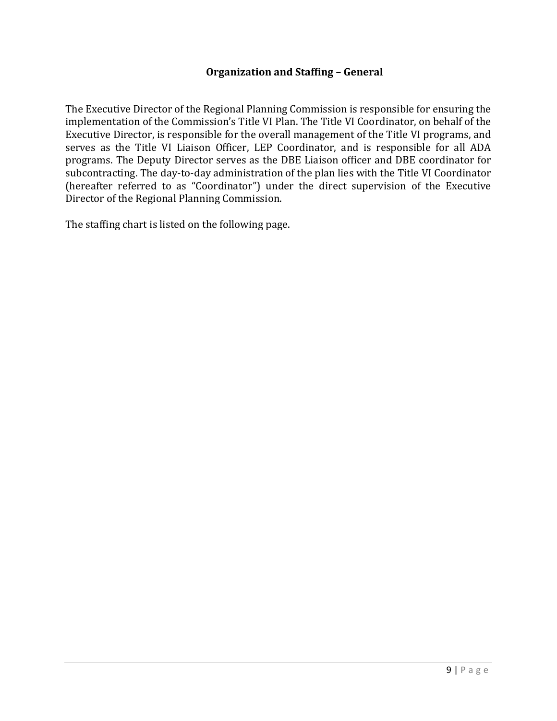#### **Organization and Staffing – General**

The Executive Director of the Regional Planning Commission is responsible for ensuring the implementation of the Commission's Title VI Plan. The Title VI Coordinator, on behalf of the Executive Director, is responsible for the overall management of the Title VI programs, and serves as the Title VI Liaison Officer, LEP Coordinator, and is responsible for all ADA programs. The Deputy Director serves as the DBE Liaison officer and DBE coordinator for subcontracting. The day-to-day administration of the plan lies with the Title VI Coordinator (hereafter referred to as "Coordinator") under the direct supervision of the Executive Director of the Regional Planning Commission.

The staffing chart is listed on the following page.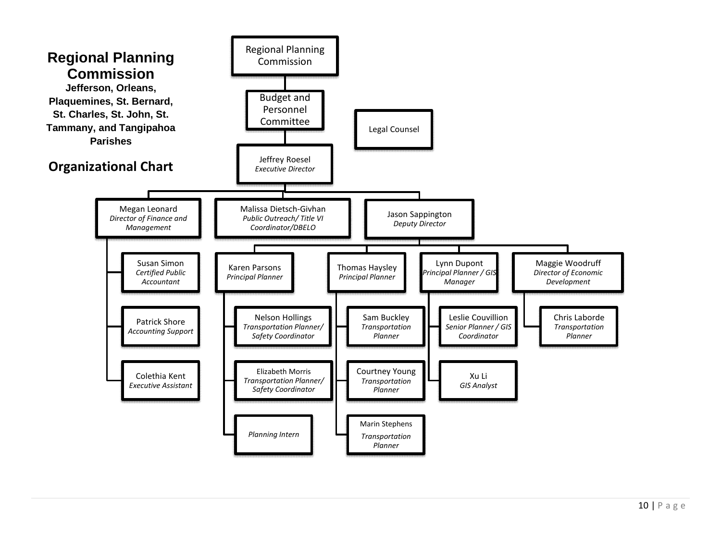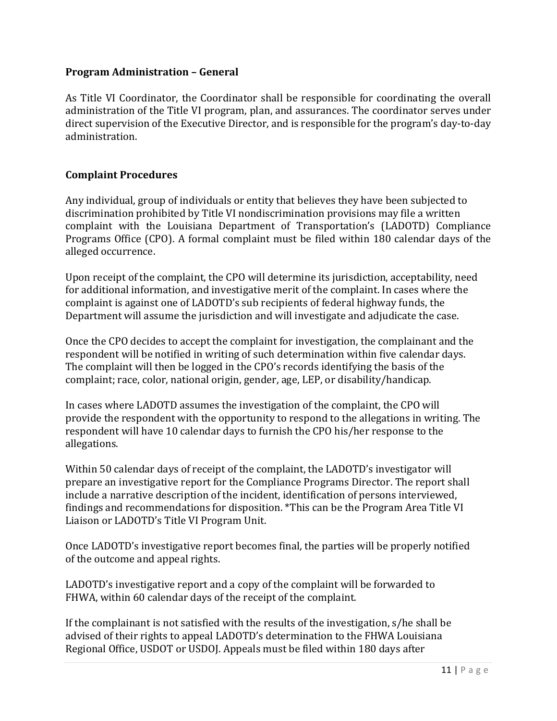#### **Program Administration – General**

As Title VI Coordinator, the Coordinator shall be responsible for coordinating the overall administration of the Title VI program, plan, and assurances. The coordinator serves under direct supervision of the Executive Director, and is responsible for the program's day-to-day administration.

# **Complaint Procedures**

Any individual, group of individuals or entity that believes they have been subjected to discrimination prohibited by Title VI nondiscrimination provisions may file a written complaint with the Louisiana Department of Transportation's (LADOTD) Compliance Programs Office (CPO). A formal complaint must be filed within 180 calendar days of the alleged occurrence.

Upon receipt of the complaint, the CPO will determine its jurisdiction, acceptability, need for additional information, and investigative merit of the complaint. In cases where the complaint is against one of LADOTD's sub recipients of federal highway funds, the Department will assume the jurisdiction and will investigate and adjudicate the case.

Once the CPO decides to accept the complaint for investigation, the complainant and the respondent will be notified in writing of such determination within five calendar days. The complaint will then be logged in the CPO's records identifying the basis of the complaint; race, color, national origin, gender, age, LEP, or disability/handicap.

In cases where LADOTD assumes the investigation of the complaint, the CPO will provide the respondent with the opportunity to respond to the allegations in writing. The respondent will have 10 calendar days to furnish the CPO his/her response to the allegations.

Within 50 calendar days of receipt of the complaint, the LADOTD's investigator will prepare an investigative report for the Compliance Programs Director. The report shall include a narrative description of the incident, identification of persons interviewed, findings and recommendations for disposition. \*This can be the Program Area Title VI Liaison or LADOTD's Title VI Program Unit.

Once LADOTD's investigative report becomes final, the parties will be properly notified of the outcome and appeal rights.

LADOTD's investigative report and a copy of the complaint will be forwarded to FHWA, within 60 calendar days of the receipt of the complaint.

If the complainant is not satisfied with the results of the investigation, s/he shall be advised of their rights to appeal LADOTD's determination to the FHWA Louisiana Regional Office, USDOT or USDOJ. Appeals must be filed within 180 days after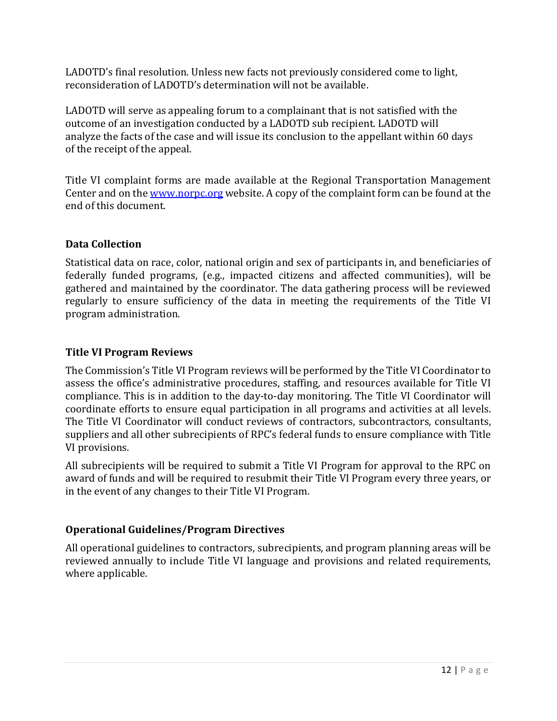LADOTD's final resolution. Unless new facts not previously considered come to light, reconsideration of LADOTD's determination will not be available.

LADOTD will serve as appealing forum to a complainant that is not satisfied with the outcome of an investigation conducted by a LADOTD sub recipient. LADOTD will analyze the facts of the case and will issue its conclusion to the appellant within 60 days of the receipt of the appeal.

Title VI complaint forms are made available at the Regional Transportation Management Center and on the [www.norpc.org](http://www.norpc.org/) website. A copy of the complaint form can be found at the end of this document.

# **Data Collection**

Statistical data on race, color, national origin and sex of participants in, and beneficiaries of federally funded programs, (e.g., impacted citizens and affected communities), will be gathered and maintained by the coordinator. The data gathering process will be reviewed regularly to ensure sufficiency of the data in meeting the requirements of the Title VI program administration.

# **Title VI Program Reviews**

The Commission's Title VI Program reviews will be performed by the Title VI Coordinator to assess the office's administrative procedures, staffing, and resources available for Title VI compliance. This is in addition to the day-to-day monitoring. The Title VI Coordinator will coordinate efforts to ensure equal participation in all programs and activities at all levels. The Title VI Coordinator will conduct reviews of contractors, subcontractors, consultants, suppliers and all other subrecipients of RPC's federal funds to ensure compliance with Title VI provisions.

All subrecipients will be required to submit a Title VI Program for approval to the RPC on award of funds and will be required to resubmit their Title VI Program every three years, or in the event of any changes to their Title VI Program.

# **Operational Guidelines/Program Directives**

All operational guidelines to contractors, subrecipients, and program planning areas will be reviewed annually to include Title VI language and provisions and related requirements, where applicable.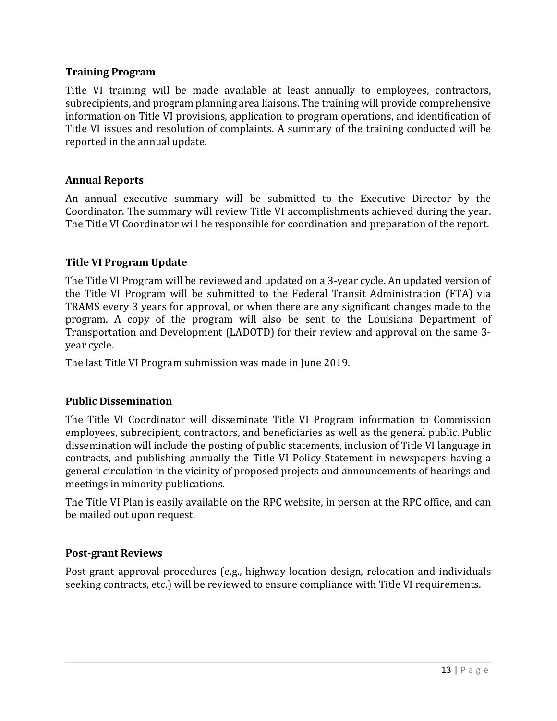#### **Training Program**

Title VI training will be made available at least annually to employees, contractors, subrecipients, and program planning area liaisons. The training will provide comprehensive information on Title VI provisions, application to program operations, and identification of Title VI issues and resolution of complaints. A summary of the training conducted will be reported in the annual update.

#### **Annual Reports**

An annual executive summary will be submitted to the Executive Director by the Coordinator. The summary will review Title VI accomplishments achieved during the year. The Title VI Coordinator will be responsible for coordination and preparation of the report.

#### **Title VI Program Update**

The Title VI Program will be reviewed and updated on a 3-year cycle. An updated version of the Title VI Program will be submitted to the Federal Transit Administration (FTA) via TRAMS every 3 years for approval, or when there are any significant changes made to the program. A copy of the program will also be sent to the Louisiana Department of Transportation and Development (LADOTD) for their review and approval on the same 3 year cycle.

The last Title VI Program submission was made in June 2019.

#### **Public Dissemination**

The Title VI Coordinator will disseminate Title VI Program information to Commission employees, subrecipient, contractors, and beneficiaries as well as the general public. Public dissemination will include the posting of public statements, inclusion of Title VI language in contracts, and publishing annually the Title VI Policy Statement in newspapers having a general circulation in the vicinity of proposed projects and announcements of hearings and meetings in minority publications.

The Title VI Plan is easily available on the RPC website, in person at the RPC office, and can be mailed out upon request.

#### **Post-grant Reviews**

Post-grant approval procedures (e.g., highway location design, relocation and individuals seeking contracts, etc.) will be reviewed to ensure compliance with Title VI requirements.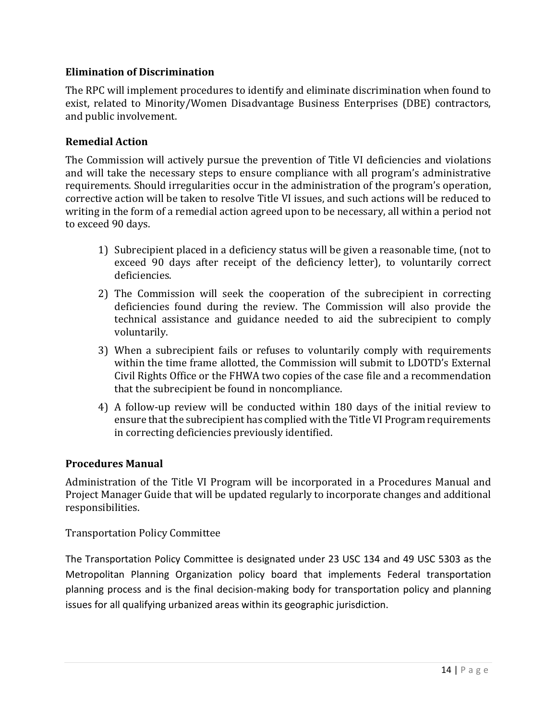# **Elimination of Discrimination**

The RPC will implement procedures to identify and eliminate discrimination when found to exist, related to Minority/Women Disadvantage Business Enterprises (DBE) contractors, and public involvement.

# **Remedial Action**

The Commission will actively pursue the prevention of Title VI deficiencies and violations and will take the necessary steps to ensure compliance with all program's administrative requirements. Should irregularities occur in the administration of the program's operation, corrective action will be taken to resolve Title VI issues, and such actions will be reduced to writing in the form of a remedial action agreed upon to be necessary, all within a period not to exceed 90 days.

- 1) Subrecipient placed in a deficiency status will be given a reasonable time, (not to exceed 90 days after receipt of the deficiency letter), to voluntarily correct deficiencies.
- 2) The Commission will seek the cooperation of the subrecipient in correcting deficiencies found during the review. The Commission will also provide the technical assistance and guidance needed to aid the subrecipient to comply voluntarily.
- 3) When a subrecipient fails or refuses to voluntarily comply with requirements within the time frame allotted, the Commission will submit to LDOTD's External Civil Rights Office or the FHWA two copies of the case file and a recommendation that the subrecipient be found in noncompliance.
- 4) A follow-up review will be conducted within 180 days of the initial review to ensure that the subrecipient has complied with the Title VI Program requirements in correcting deficiencies previously identified.

#### **Procedures Manual**

Administration of the Title VI Program will be incorporated in a Procedures Manual and Project Manager Guide that will be updated regularly to incorporate changes and additional responsibilities.

#### Transportation Policy Committee

The Transportation Policy Committee is designated under 23 USC 134 and 49 USC 5303 as the Metropolitan Planning Organization policy board that implements Federal transportation planning process and is the final decision-making body for transportation policy and planning issues for all qualifying urbanized areas within its geographic jurisdiction.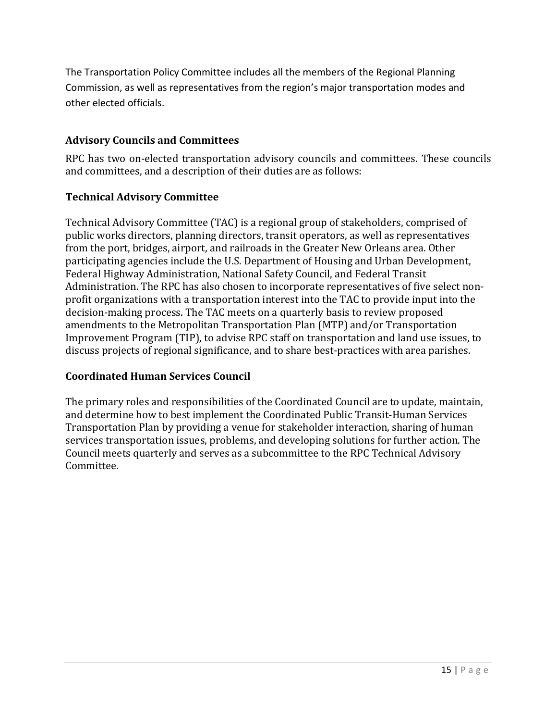The Transportation Policy Committee includes all the members of the Regional Planning Commission, as well as representatives from the region's major transportation modes and other elected officials.

# **Advisory Councils and Committees**

RPC has two on-elected transportation advisory councils and committees. These councils and committees, and a description of their duties are as follows:

# **Technical Advisory Committee**

Technical Advisory Committee (TAC) is a regional group of stakeholders, comprised of public works directors, planning directors, transit operators, as well as representatives from the port, bridges, airport, and railroads in the Greater New Orleans area. Other participating agencies include the U.S. Department of Housing and Urban Development, Federal Highway Administration, National Safety Council, and Federal Transit Administration. The RPC has also chosen to incorporate representatives of five select nonprofit organizations with a transportation interest into the TAC to provide input into the decision-making process. The TAC meets on a quarterly basis to review proposed amendments to the Metropolitan Transportation Plan (MTP) and/or Transportation Improvement Program (TIP), to advise RPC staff on transportation and land use issues, to discuss projects of regional significance, and to share best-practices with area parishes.

# **Coordinated Human Services Council**

The primary roles and responsibilities of the Coordinated Council are to update, maintain, and determine how to best implement the Coordinated Public Transit-Human Services Transportation Plan by providing a venue for stakeholder interaction, sharing of human services transportation issues, problems, and developing solutions for further action. The Council meets quarterly and serves as a subcommittee to the RPC Technical Advisory Committee.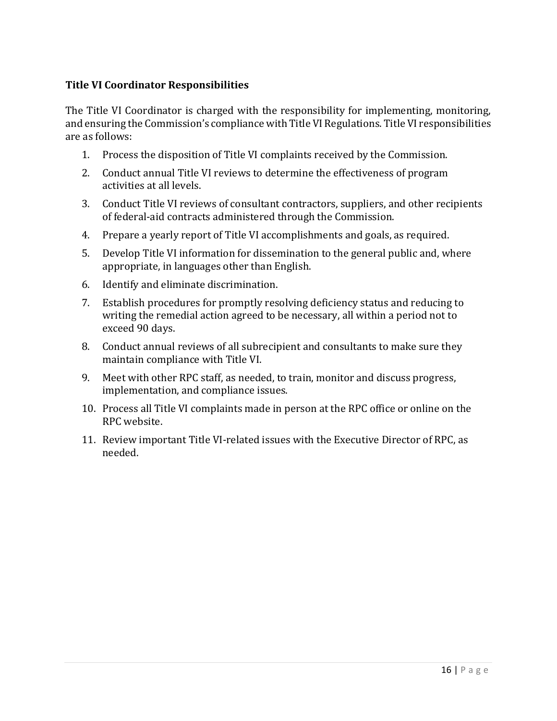# **Title VI Coordinator Responsibilities**

The Title VI Coordinator is charged with the responsibility for implementing, monitoring, and ensuring the Commission's compliance with Title VI Regulations. Title VI responsibilities are as follows:

- 1. Process the disposition of Title VI complaints received by the Commission.
- 2. Conduct annual Title VI reviews to determine the effectiveness of program activities at all levels.
- 3. Conduct Title VI reviews of consultant contractors, suppliers, and other recipients of federal-aid contracts administered through the Commission.
- 4. Prepare a yearly report of Title VI accomplishments and goals, as required.
- 5. Develop Title VI information for dissemination to the general public and, where appropriate, in languages other than English.
- 6. Identify and eliminate discrimination.
- 7. Establish procedures for promptly resolving deficiency status and reducing to writing the remedial action agreed to be necessary, all within a period not to exceed 90 days.
- 8. Conduct annual reviews of all subrecipient and consultants to make sure they maintain compliance with Title VI.
- 9. Meet with other RPC staff, as needed, to train, monitor and discuss progress, implementation, and compliance issues.
- 10. Process all Title VI complaints made in person at the RPC office or online on the RPC website.
- 11. Review important Title VI-related issues with the Executive Director of RPC, as needed.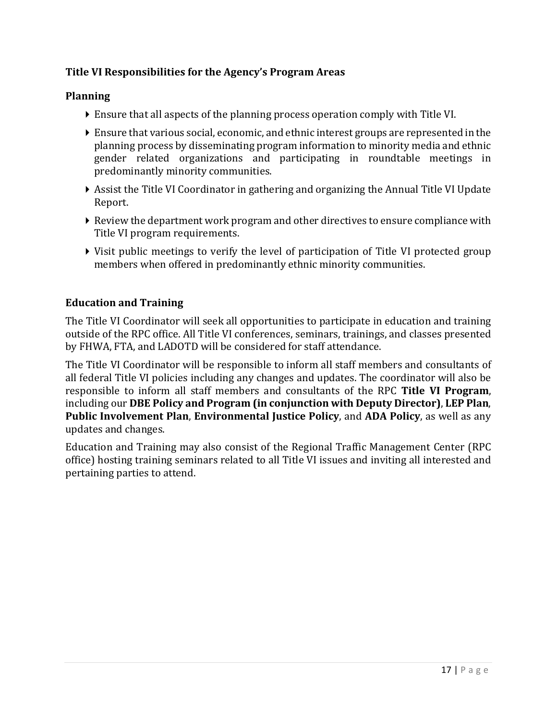# **Title VI Responsibilities for the Agency's Program Areas**

# **Planning**

- Ensure that all aspects of the planning process operation comply with Title VI.
- Ensure that various social, economic, and ethnic interest groups are represented in the planning process by disseminating program information to minority media and ethnic gender related organizations and participating in roundtable meetings in predominantly minority communities.
- Assist the Title VI Coordinator in gathering and organizing the Annual Title VI Update Report.
- $\blacktriangleright$  Review the department work program and other directives to ensure compliance with Title VI program requirements.
- Visit public meetings to verify the level of participation of Title VI protected group members when offered in predominantly ethnic minority communities.

# **Education and Training**

The Title VI Coordinator will seek all opportunities to participate in education and training outside of the RPC office. All Title VI conferences, seminars, trainings, and classes presented by FHWA, FTA, and LADOTD will be considered for staff attendance.

The Title VI Coordinator will be responsible to inform all staff members and consultants of all federal Title VI policies including any changes and updates. The coordinator will also be responsible to inform all staff members and consultants of the RPC **Title VI Program**, including our **DBE Policy and Program (in conjunction with Deputy Director)**, **LEP Plan**, **Public Involvement Plan**, **Environmental Justice Policy**, and **ADA Policy**, as well as any updates and changes.

Education and Training may also consist of the Regional Traffic Management Center (RPC office) hosting training seminars related to all Title VI issues and inviting all interested and pertaining parties to attend.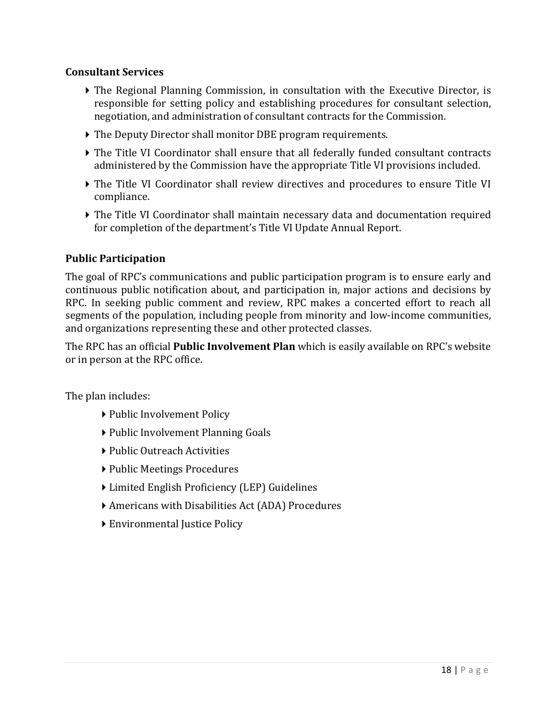#### **Consultant Services**

- The Regional Planning Commission, in consultation with the Executive Director, is responsible for setting policy and establishing procedures for consultant selection, negotiation, and administration of consultant contracts for the Commission.
- The Deputy Director shall monitor DBE program requirements.
- The Title VI Coordinator shall ensure that all federally funded consultant contracts administered by the Commission have the appropriate Title VI provisions included.
- The Title VI Coordinator shall review directives and procedures to ensure Title VI compliance.
- The Title VI Coordinator shall maintain necessary data and documentation required for completion of the department's Title VI Update Annual Report.

# **Public Participation**

The goal of RPC's communications and public participation program is to ensure early and continuous public notification about, and participation in, major actions and decisions by RPC. In seeking public comment and review, RPC makes a concerted effort to reach all segments of the population, including people from minority and low-income communities, and organizations representing these and other protected classes.

The RPC has an official **Public Involvement Plan** which is easily available on RPC's website or in person at the RPC office.

The plan includes:

- ▶ Public Involvement Policy
- ▶ Public Involvement Planning Goals
- ▶ Public Outreach Activities
- ▶ Public Meetings Procedures
- Limited English Proficiency (LEP) Guidelines
- Americans with Disabilities Act (ADA) Procedures
- ▶ Environmental Justice Policy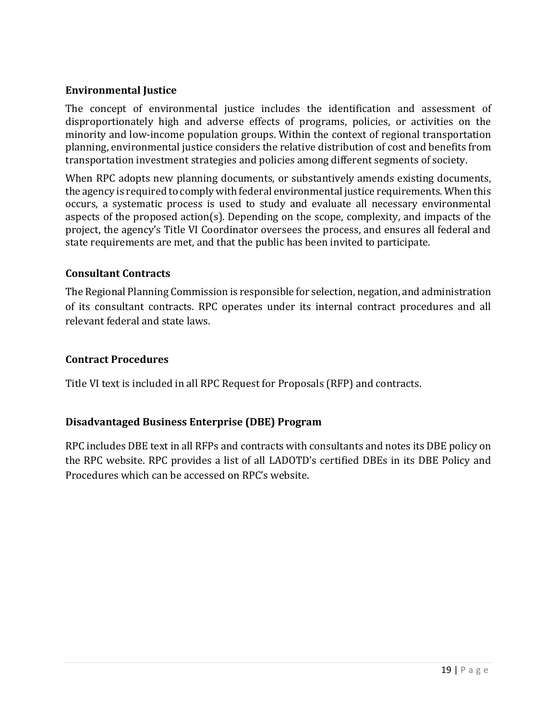# **Environmental Justice**

The concept of environmental justice includes the identification and assessment of disproportionately high and adverse effects of programs, policies, or activities on the minority and low-income population groups. Within the context of regional transportation planning, environmental justice considers the relative distribution of cost and benefits from transportation investment strategies and policies among different segments of society.

When RPC adopts new planning documents, or substantively amends existing documents, the agency is required to comply with federal environmental justice requirements. When this occurs, a systematic process is used to study and evaluate all necessary environmental aspects of the proposed action(s). Depending on the scope, complexity, and impacts of the project, the agency's Title VI Coordinator oversees the process, and ensures all federal and state requirements are met, and that the public has been invited to participate.

# **Consultant Contracts**

The Regional Planning Commission is responsible for selection, negation, and administration of its consultant contracts. RPC operates under its internal contract procedures and all relevant federal and state laws.

## **Contract Procedures**

Title VI text is included in all RPC Request for Proposals (RFP) and contracts.

# **Disadvantaged Business Enterprise (DBE) Program**

RPC includes DBE text in all RFPs and contracts with consultants and notes its DBE policy on the RPC website. RPC provides a list of all LADOTD's certified DBEs in its DBE Policy and Procedures which can be accessed on RPC's website.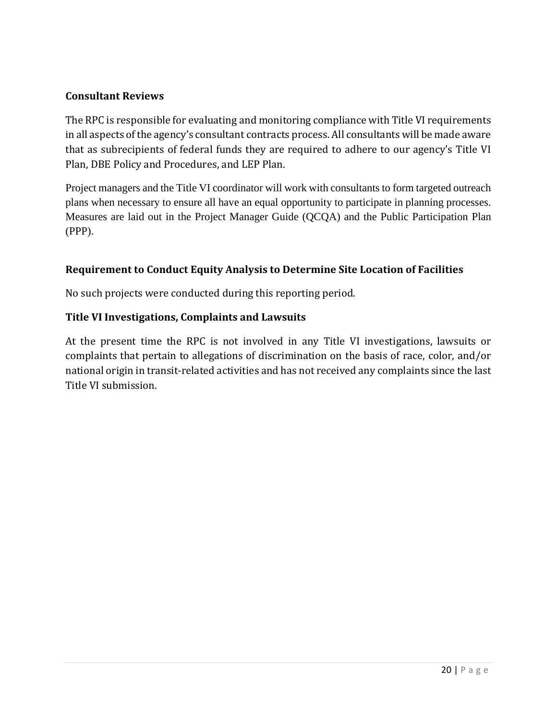## **Consultant Reviews**

The RPC is responsible for evaluating and monitoring compliance with Title VI requirements in all aspects of the agency's consultant contracts process. All consultants will be made aware that as subrecipients of federal funds they are required to adhere to our agency's Title VI Plan, DBE Policy and Procedures, and LEP Plan.

Project managers and the Title VI coordinator will work with consultants to form targeted outreach plans when necessary to ensure all have an equal opportunity to participate in planning processes. Measures are laid out in the Project Manager Guide (QCQA) and the Public Participation Plan (PPP).

# **Requirement to Conduct Equity Analysis to Determine Site Location of Facilities**

No such projects were conducted during this reporting period.

# **Title VI Investigations, Complaints and Lawsuits**

At the present time the RPC is not involved in any Title VI investigations, lawsuits or complaints that pertain to allegations of discrimination on the basis of race, color, and/or national origin in transit-related activities and has not received any complaints since the last Title VI submission.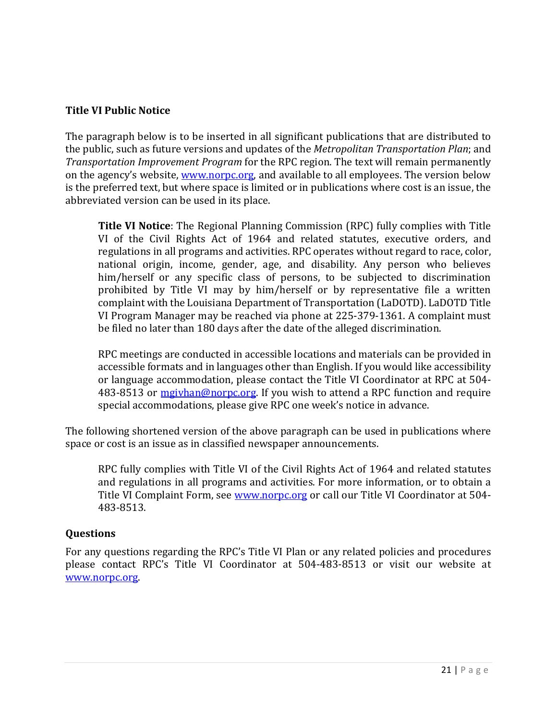## **Title VI Public Notice**

The paragraph below is to be inserted in all significant publications that are distributed to the public, such as future versions and updates of the *Metropolitan Transportation Plan*; and *Transportation Improvement Program* for the RPC region. The text will remain permanently on the agency's website, [www.norpc.org,](http://www.norpc.org/) and available to all employees. The version below is the preferred text, but where space is limited or in publications where cost is an issue, the abbreviated version can be used in its place.

**Title VI Notice**: The Regional Planning Commission (RPC) fully complies with Title VI of the Civil Rights Act of 1964 and related statutes, executive orders, and regulations in all programs and activities. RPC operates without regard to race, color, national origin, income, gender, age, and disability. Any person who believes him/herself or any specific class of persons, to be subjected to discrimination prohibited by Title VI may by him/herself or by representative file a written complaint with the Louisiana Department of Transportation (LaDOTD). LaDOTD Title VI Program Manager may be reached via phone at 225-379-1361. A complaint must be filed no later than 180 days after the date of the alleged discrimination.

RPC meetings are conducted in accessible locations and materials can be provided in accessible formats and in languages other than English. If you would like accessibility or language accommodation, please contact the Title VI Coordinator at RPC at 504- 483-8513 or [mgivhan@norpc.org.](mailto:mgivhan@norpc.org) If you wish to attend a RPC function and require special accommodations, please give RPC one week's notice in advance.

The following shortened version of the above paragraph can be used in publications where space or cost is an issue as in classified newspaper announcements.

RPC fully complies with Title VI of the Civil Rights Act of 1964 and related statutes and regulations in all programs and activities. For more information, or to obtain a Title VI Complaint Form, see [www.norpc.org](http://www.norpc.org/) or call our Title VI Coordinator at 504-483-8513.

#### **Questions**

For any questions regarding the RPC's Title VI Plan or any related policies and procedures please contact RPC's Title VI Coordinator at 504-483-8513 or visit our website at [www.norpc.org.](http://www.norpc.org/)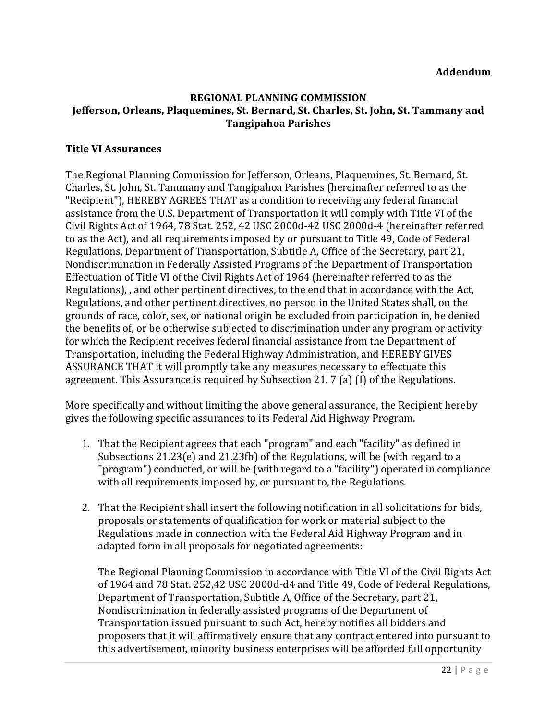#### **REGIONAL PLANNING COMMISSION Jefferson, Orleans, Plaquemines, St. Bernard, St. Charles, St. John, St. Tammany and Tangipahoa Parishes**

## **Title VI Assurances**

The Regional Planning Commission for Jefferson, Orleans, Plaquemines, St. Bernard, St. Charles, St. John, St. Tammany and Tangipahoa Parishes (hereinafter referred to as the "Recipient"), HEREBY AGREES THAT as a condition to receiving any federal financial assistance from the U.S. Department of Transportation it will comply with Title VI of the Civil Rights Act of 1964, 78 Stat. 252, 42 USC 2000d-42 USC 2000d-4 (hereinafter referred to as the Act), and all requirements imposed by or pursuant to Title 49, Code of Federal Regulations, Department of Transportation, Subtitle A, Office of the Secretary, part 21, Nondiscrimination in Federally Assisted Programs of the Department of Transportation Effectuation of Title VI of the Civil Rights Act of 1964 (hereinafter referred to as the Regulations), , and other pertinent directives, to the end that in accordance with the Act, Regulations, and other pertinent directives, no person in the United States shall, on the grounds of race, color, sex, or national origin be excluded from participation in, be denied the benefits of, or be otherwise subjected to discrimination under any program or activity for which the Recipient receives federal financial assistance from the Department of Transportation, including the Federal Highway Administration, and HEREBY GIVES ASSURANCE THAT it will promptly take any measures necessary to effectuate this agreement. This Assurance is required by Subsection 21. 7 (a) (I) of the Regulations.

More specifically and without limiting the above general assurance, the Recipient hereby gives the following specific assurances to its Federal Aid Highway Program.

- 1. That the Recipient agrees that each "program" and each "facility" as defined in Subsections 21.23(e) and 21.23fb) of the Regulations, will be (with regard to a "program") conducted, or will be (with regard to a "facility") operated in compliance with all requirements imposed by, or pursuant to, the Regulations.
- 2. That the Recipient shall insert the following notification in all solicitations for bids, proposals or statements of qualification for work or material subject to the Regulations made in connection with the Federal Aid Highway Program and in adapted form in all proposals for negotiated agreements:

 The Regional Planning Commission in accordance with Title VI of the Civil Rights Act of 1964 and 78 Stat. 252,42 USC 2000d-d4 and Title 49, Code of Federal Regulations, Department of Transportation, Subtitle A, Office of the Secretary, part 21, Nondiscrimination in federally assisted programs of the Department of Transportation issued pursuant to such Act, hereby notifies all bidders and proposers that it will affirmatively ensure that any contract entered into pursuant to this advertisement, minority business enterprises will be afforded full opportunity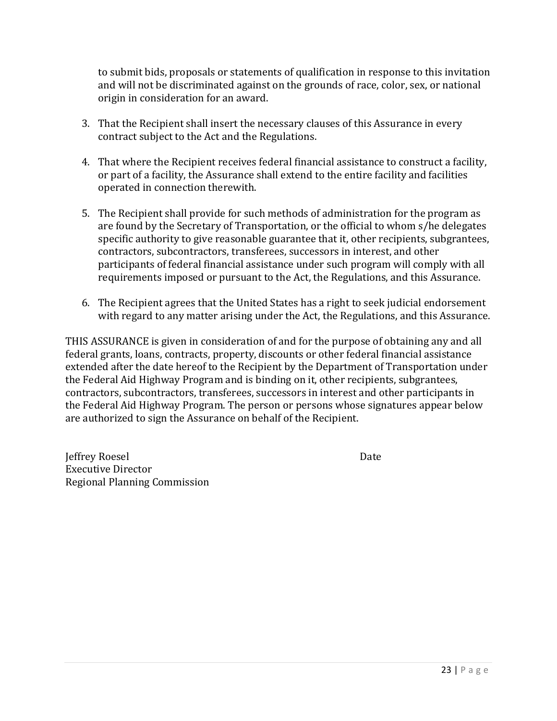to submit bids, proposals or statements of qualification in response to this invitation and will not be discriminated against on the grounds of race, color, sex, or national origin in consideration for an award.

- 3. That the Recipient shall insert the necessary clauses of this Assurance in every contract subject to the Act and the Regulations.
- 4. That where the Recipient receives federal financial assistance to construct a facility, or part of a facility, the Assurance shall extend to the entire facility and facilities operated in connection therewith.
- 5. The Recipient shall provide for such methods of administration for the program as are found by the Secretary of Transportation, or the official to whom s/he delegates specific authority to give reasonable guarantee that it, other recipients, subgrantees, contractors, subcontractors, transferees, successors in interest, and other participants of federal financial assistance under such program will comply with all requirements imposed or pursuant to the Act, the Regulations, and this Assurance.
- 6. The Recipient agrees that the United States has a right to seek judicial endorsement with regard to any matter arising under the Act, the Regulations, and this Assurance.

THIS ASSURANCE is given in consideration of and for the purpose of obtaining any and all federal grants, loans, contracts, property, discounts or other federal financial assistance extended after the date hereof to the Recipient by the Department of Transportation under the Federal Aid Highway Program and is binding on it, other recipients, subgrantees, contractors, subcontractors, transferees, successors in interest and other participants in the Federal Aid Highway Program. The person or persons whose signatures appear below are authorized to sign the Assurance on behalf of the Recipient.

Jeffrey Roesel Date Executive Director Regional Planning Commission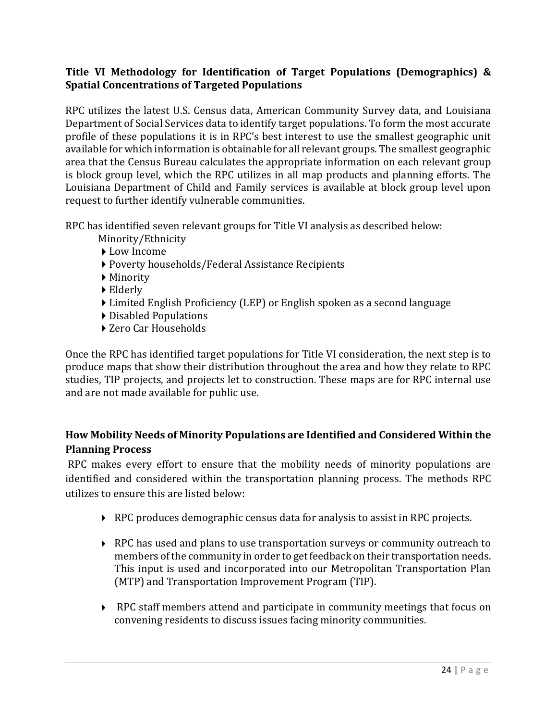# **Title VI Methodology for Identification of Target Populations (Demographics) & Spatial Concentrations of Targeted Populations**

RPC utilizes the latest U.S. Census data, American Community Survey data, and Louisiana Department of Social Services data to identify target populations. To form the most accurate profile of these populations it is in RPC's best interest to use the smallest geographic unit available for which information is obtainable for all relevant groups. The smallest geographic area that the Census Bureau calculates the appropriate information on each relevant group is block group level, which the RPC utilizes in all map products and planning efforts. The Louisiana Department of Child and Family services is available at block group level upon request to further identify vulnerable communities.

RPC has identified seven relevant groups for Title VI analysis as described below:

- Minority/Ethnicity
- ▶ Low Income
- Poverty households/Federal Assistance Recipients
- Minority
- Elderly
- Limited English Proficiency (LEP) or English spoken as a second language
- Disabled Populations
- ▶ Zero Car Households

Once the RPC has identified target populations for Title VI consideration, the next step is to produce maps that show their distribution throughout the area and how they relate to RPC studies, TIP projects, and projects let to construction. These maps are for RPC internal use and are not made available for public use.

# **How Mobility Needs of Minority Populations are Identified and Considered Within the Planning Process**

RPC makes every effort to ensure that the mobility needs of minority populations are identified and considered within the transportation planning process. The methods RPC utilizes to ensure this are listed below:

- RPC produces demographic census data for analysis to assist in RPC projects.
- ▶ RPC has used and plans to use transportation surveys or community outreach to members of the community in order to get feedback on their transportation needs. This input is used and incorporated into our Metropolitan Transportation Plan (MTP) and Transportation Improvement Program (TIP).
- RPC staff members attend and participate in community meetings that focus on convening residents to discuss issues facing minority communities.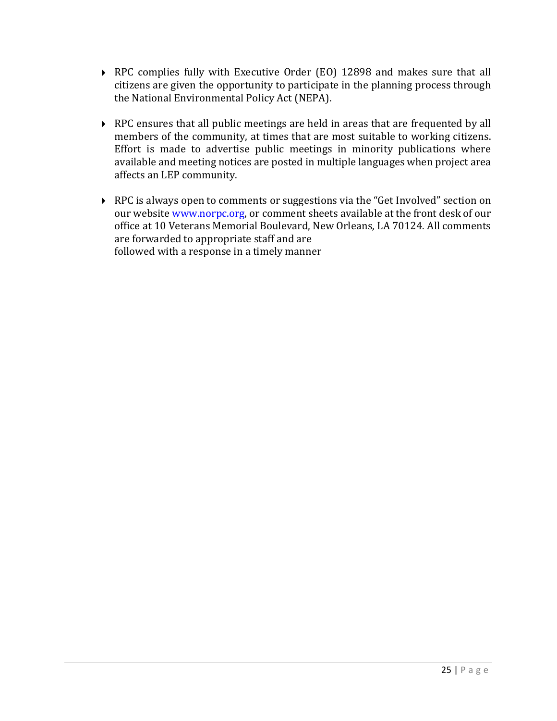- RPC complies fully with Executive Order (EO) 12898 and makes sure that all citizens are given the opportunity to participate in the planning process through the National Environmental Policy Act (NEPA).
- ▶ RPC ensures that all public meetings are held in areas that are frequented by all members of the community, at times that are most suitable to working citizens. Effort is made to advertise public meetings in minority publications where available and meeting notices are posted in multiple languages when project area affects an LEP community.
- ▶ RPC is always open to comments or suggestions via the "Get Involved" section on our website [www.norpc.org,](http://www.norpc.org/) or comment sheets available at the front desk of our office at 10 Veterans Memorial Boulevard, New Orleans, LA 70124. All comments are forwarded to appropriate staff and are followed with a response in a timely manner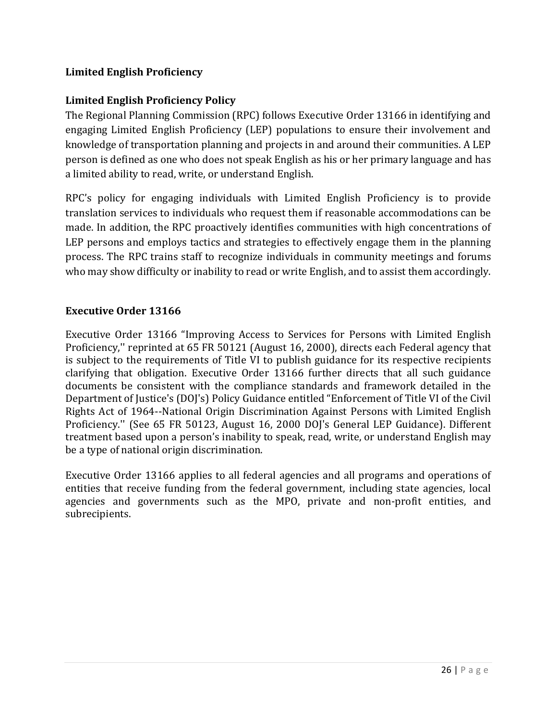# **Limited English Proficiency**

# **Limited English Proficiency Policy**

The Regional Planning Commission (RPC) follows Executive Order 13166 in identifying and engaging Limited English Proficiency (LEP) populations to ensure their involvement and knowledge of transportation planning and projects in and around their communities. A LEP person is defined as one who does not speak English as his or her primary language and has a limited ability to read, write, or understand English.

RPC's policy for engaging individuals with Limited English Proficiency is to provide translation services to individuals who request them if reasonable accommodations can be made. In addition, the RPC proactively identifies communities with high concentrations of LEP persons and employs tactics and strategies to effectively engage them in the planning process. The RPC trains staff to recognize individuals in community meetings and forums who may show difficulty or inability to read or write English, and to assist them accordingly.

# **Executive Order 13166**

Executive Order 13166 "Improving Access to Services for Persons with Limited English Proficiency,'' reprinted at 65 FR 50121 (August 16, 2000), directs each Federal agency that is subject to the requirements of Title VI to publish guidance for its respective recipients clarifying that obligation. Executive Order 13166 further directs that all such guidance documents be consistent with the compliance standards and framework detailed in the Department of Justice's (DOJ's) Policy Guidance entitled "Enforcement of Title VI of the Civil Rights Act of 1964--National Origin Discrimination Against Persons with Limited English Proficiency.'' (See 65 FR 50123, August 16, 2000 DOJ's General LEP Guidance). Different treatment based upon a person's inability to speak, read, write, or understand English may be a type of national origin discrimination.

Executive Order 13166 applies to all federal agencies and all programs and operations of entities that receive funding from the federal government, including state agencies, local agencies and governments such as the MPO, private and non-profit entities, and subrecipients.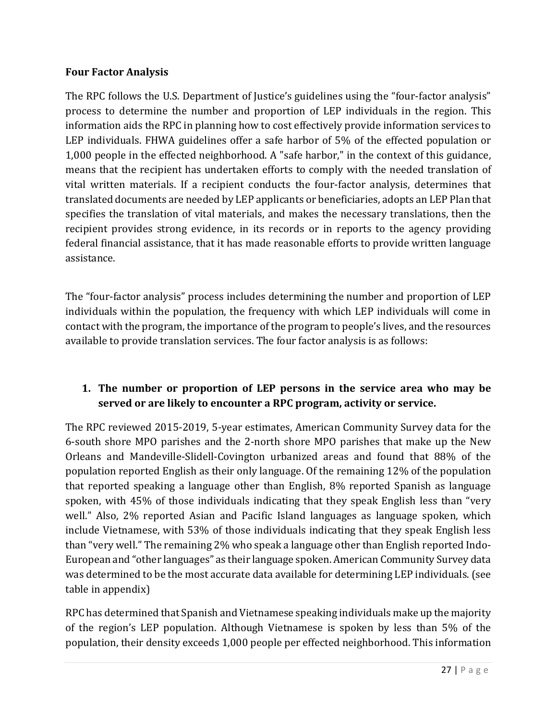# **Four Factor Analysis**

The RPC follows the U.S. Department of Justice's guidelines using the "four-factor analysis" process to determine the number and proportion of LEP individuals in the region. This information aids the RPC in planning how to cost effectively provide information services to LEP individuals. FHWA guidelines offer a safe harbor of 5% of the effected population or 1,000 people in the effected neighborhood. A "safe harbor," in the context of this guidance, means that the recipient has undertaken efforts to comply with the needed translation of vital written materials. If a recipient conducts the four-factor analysis, determines that translated documents are needed by LEP applicants or beneficiaries, adopts an LEP Plan that specifies the translation of vital materials, and makes the necessary translations, then the recipient provides strong evidence, in its records or in reports to the agency providing federal financial assistance, that it has made reasonable efforts to provide written language assistance.

The "four-factor analysis" process includes determining the number and proportion of LEP individuals within the population, the frequency with which LEP individuals will come in contact with the program, the importance of the program to people's lives, and the resources available to provide translation services. The four factor analysis is as follows:

# **1. The number or proportion of LEP persons in the service area who may be served or are likely to encounter a RPC program, activity or service.**

The RPC reviewed 2015-2019, 5-year estimates, American Community Survey data for the 6-south shore MPO parishes and the 2-north shore MPO parishes that make up the New Orleans and Mandeville-Slidell-Covington urbanized areas and found that 88% of the population reported English as their only language. Of the remaining 12% of the population that reported speaking a language other than English, 8% reported Spanish as language spoken, with 45% of those individuals indicating that they speak English less than "very well." Also, 2% reported Asian and Pacific Island languages as language spoken, which include Vietnamese, with 53% of those individuals indicating that they speak English less than "very well." The remaining 2% who speak a language other than English reported Indo-European and "other languages" as their language spoken. American Community Survey data was determined to be the most accurate data available for determining LEP individuals. (see table in appendix)

RPC has determined that Spanish and Vietnamese speaking individuals make up the majority of the region's LEP population. Although Vietnamese is spoken by less than 5% of the population, their density exceeds 1,000 people per effected neighborhood. This information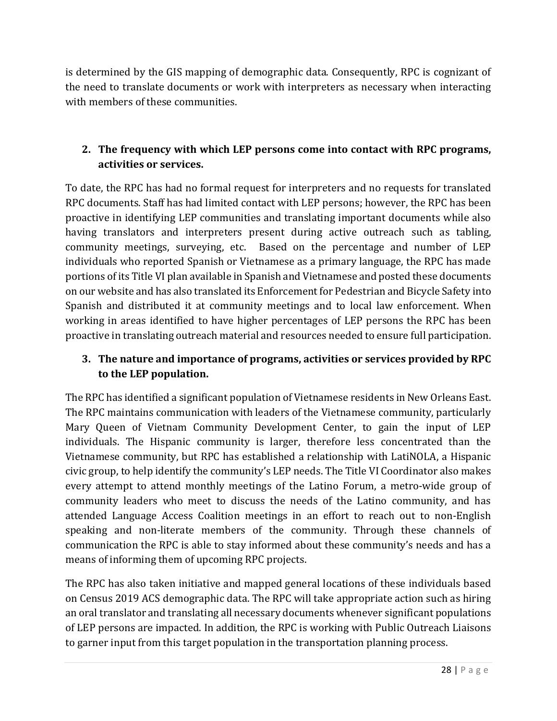is determined by the GIS mapping of demographic data. Consequently, RPC is cognizant of the need to translate documents or work with interpreters as necessary when interacting with members of these communities.

# **2. The frequency with which LEP persons come into contact with RPC programs, activities or services.**

To date, the RPC has had no formal request for interpreters and no requests for translated RPC documents. Staff has had limited contact with LEP persons; however, the RPC has been proactive in identifying LEP communities and translating important documents while also having translators and interpreters present during active outreach such as tabling, community meetings, surveying, etc. Based on the percentage and number of LEP individuals who reported Spanish or Vietnamese as a primary language, the RPC has made portions of its Title VI plan available in Spanish and Vietnamese and posted these documents on our website and has also translated its Enforcement for Pedestrian and Bicycle Safety into Spanish and distributed it at community meetings and to local law enforcement. When working in areas identified to have higher percentages of LEP persons the RPC has been proactive in translating outreach material and resources needed to ensure full participation.

# **3. The nature and importance of programs, activities or services provided by RPC to the LEP population.**

The RPC has identified a significant population of Vietnamese residents in New Orleans East. The RPC maintains communication with leaders of the Vietnamese community, particularly Mary Queen of Vietnam Community Development Center, to gain the input of LEP individuals. The Hispanic community is larger, therefore less concentrated than the Vietnamese community, but RPC has established a relationship with LatiNOLA, a Hispanic civic group, to help identify the community's LEP needs. The Title VI Coordinator also makes every attempt to attend monthly meetings of the Latino Forum, a metro-wide group of community leaders who meet to discuss the needs of the Latino community, and has attended Language Access Coalition meetings in an effort to reach out to non-English speaking and non-literate members of the community. Through these channels of communication the RPC is able to stay informed about these community's needs and has a means of informing them of upcoming RPC projects.

The RPC has also taken initiative and mapped general locations of these individuals based on Census 2019 ACS demographic data. The RPC will take appropriate action such as hiring an oral translator and translating all necessary documents whenever significant populations of LEP persons are impacted. In addition, the RPC is working with Public Outreach Liaisons to garner input from this target population in the transportation planning process.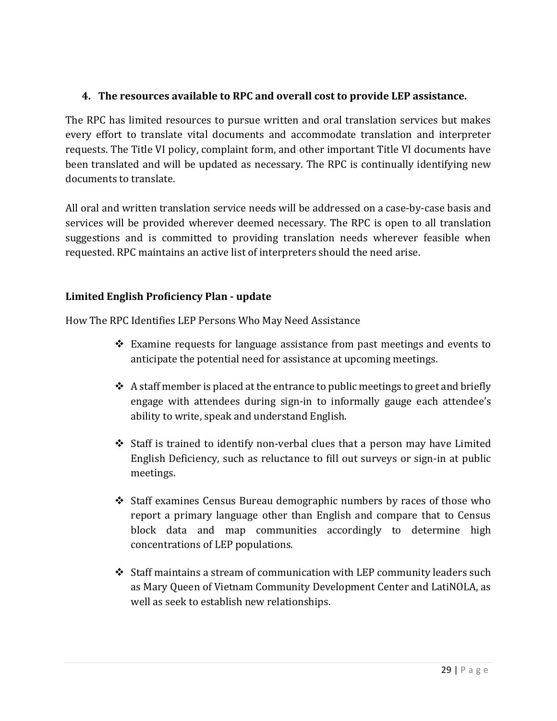# **4. The resources available to RPC and overall cost to provide LEP assistance.**

The RPC has limited resources to pursue written and oral translation services but makes every effort to translate vital documents and accommodate translation and interpreter requests. The Title VI policy, complaint form, and other important Title VI documents have been translated and will be updated as necessary. The RPC is continually identifying new documents to translate.

All oral and written translation service needs will be addressed on a case-by-case basis and services will be provided wherever deemed necessary. The RPC is open to all translation suggestions and is committed to providing translation needs wherever feasible when requested. RPC maintains an active list of interpreters should the need arise.

# **Limited English Proficiency Plan - update**

How The RPC Identifies LEP Persons Who May Need Assistance

- Examine requests for language assistance from past meetings and events to anticipate the potential need for assistance at upcoming meetings.
- $\triangle$  A staff member is placed at the entrance to public meetings to greet and briefly engage with attendees during sign-in to informally gauge each attendee's ability to write, speak and understand English.
- Staff is trained to identify non-verbal clues that a person may have Limited English Deficiency, such as reluctance to fill out surveys or sign-in at public meetings.
- Staff examines Census Bureau demographic numbers by races of those who report a primary language other than English and compare that to Census block data and map communities accordingly to determine high concentrations of LEP populations.
- $\div$  Staff maintains a stream of communication with LEP community leaders such as Mary Queen of Vietnam Community Development Center and LatiNOLA, as well as seek to establish new relationships.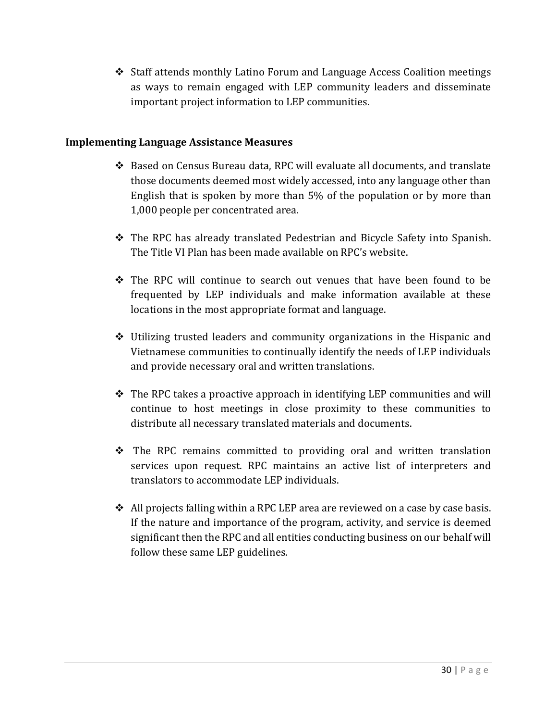$\div$  Staff attends monthly Latino Forum and Language Access Coalition meetings as ways to remain engaged with LEP community leaders and disseminate important project information to LEP communities.

## **Implementing Language Assistance Measures**

- Based on Census Bureau data, RPC will evaluate all documents, and translate those documents deemed most widely accessed, into any language other than English that is spoken by more than 5% of the population or by more than 1,000 people per concentrated area.
- The RPC has already translated Pedestrian and Bicycle Safety into Spanish. The Title VI Plan has been made available on RPC's website.
- $\div$  The RPC will continue to search out venues that have been found to be frequented by LEP individuals and make information available at these locations in the most appropriate format and language.
- $\div$  Utilizing trusted leaders and community organizations in the Hispanic and Vietnamese communities to continually identify the needs of LEP individuals and provide necessary oral and written translations.
- The RPC takes a proactive approach in identifying LEP communities and will continue to host meetings in close proximity to these communities to distribute all necessary translated materials and documents.
- $\div$  The RPC remains committed to providing oral and written translation services upon request. RPC maintains an active list of interpreters and translators to accommodate LEP individuals.
- $\triangleleft$  All projects falling within a RPC LEP area are reviewed on a case by case basis. If the nature and importance of the program, activity, and service is deemed significant then the RPC and all entities conducting business on our behalf will follow these same LEP guidelines.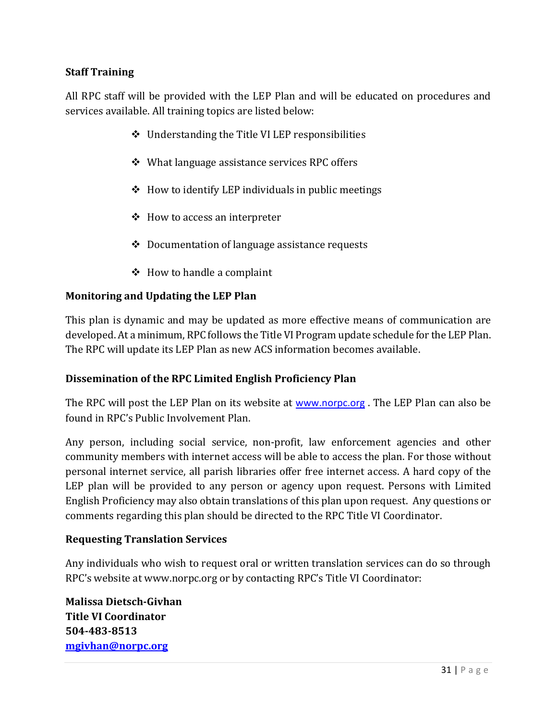# **Staff Training**

All RPC staff will be provided with the LEP Plan and will be educated on procedures and services available. All training topics are listed below:

- Understanding the Title VI LEP responsibilities
- What language assistance services RPC offers
- $\div$  How to identify LEP individuals in public meetings
- $\triangleleft$  How to access an interpreter
- Documentation of language assistance requests
- $\triangleleft$  How to handle a complaint

#### **Monitoring and Updating the LEP Plan**

This plan is dynamic and may be updated as more effective means of communication are developed. At a minimum, RPC follows the Title VI Program update schedule for the LEP Plan. The RPC will update its LEP Plan as new ACS information becomes available.

#### **Dissemination of the RPC Limited English Proficiency Plan**

The RPC will post the LEP Plan on its website at [www.norpc.org](http://www.norpc.org/) . The LEP Plan can also be found in RPC's Public Involvement Plan.

Any person, including social service, non-profit, law enforcement agencies and other community members with internet access will be able to access the plan. For those without personal internet service, all parish libraries offer free internet access. A hard copy of the LEP plan will be provided to any person or agency upon request. Persons with Limited English Proficiency may also obtain translations of this plan upon request. Any questions or comments regarding this plan should be directed to the RPC Title VI Coordinator.

#### **Requesting Translation Services**

Any individuals who wish to request oral or written translation services can do so through RPC's website at [www.norpc.org](http://www.norpc.org/) or by contacting RPC's Title VI Coordinator:

**Malissa Dietsch-Givhan Title VI Coordinator 504-483-8513 [mgivhan@norpc.org](mailto:mgivhan@norpc.org)**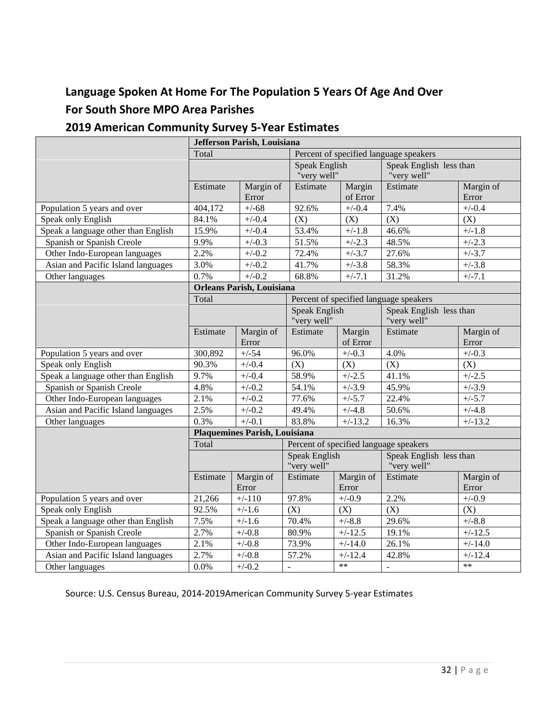# **Language Spoken At Home For The Population 5 Years Of Age And Over For South Shore MPO Area Parishes**

# **2019 American Community Survey 5-Year Estimates**

| Jefferson Parish, Louisiana         |                                  |                    |                                        |                                        |                                        |                    |  |
|-------------------------------------|----------------------------------|--------------------|----------------------------------------|----------------------------------------|----------------------------------------|--------------------|--|
|                                     | Total                            |                    |                                        | Percent of specified language speakers |                                        |                    |  |
|                                     |                                  |                    | <b>Speak English</b>                   |                                        | Speak English less than                |                    |  |
|                                     |                                  |                    | "very well"                            |                                        | "very well"                            |                    |  |
|                                     | Estimate                         | Margin of          | Estimate                               | Margin                                 | Estimate                               | Margin of          |  |
|                                     |                                  | Error              |                                        | of Error                               |                                        | Error              |  |
| Population 5 years and over         | 404,172                          | $+/-68$            | 92.6%                                  | $+/-0.4$                               | 7.4%                                   | $+/-0.4$           |  |
| Speak only English                  | 84.1%                            | $+/-0.4$           | (X)                                    | (X)                                    | (X)                                    | (X)                |  |
| Speak a language other than English | 15.9%                            | $+/-0.4$           | 53.4%                                  | $+/-1.8$                               | 46.6%                                  | $+/-1.8$           |  |
| Spanish or Spanish Creole           | 9.9%                             | $+/-0.3$           | 51.5%                                  | $+/-2.3$                               | 48.5%                                  | $+/-2.3$           |  |
| Other Indo-European languages       | 2.2%                             | $+/-0.2$           | 72.4%                                  | $+/-3.7$                               | 27.6%                                  | $+/-3.7$           |  |
| Asian and Pacific Island languages  | 3.0%                             | $+/-0.2$           | 41.7%                                  | $+/-3.8$                               | 58.3%                                  | $+/-3.8$           |  |
| Other languages                     | 0.7%                             | $+/-0.2$           | 68.8%                                  | $+/-7.1$                               | 31.2%                                  | $+/-7.1$           |  |
|                                     | <b>Orleans Parish, Louisiana</b> |                    |                                        |                                        |                                        |                    |  |
|                                     | Total                            |                    |                                        |                                        | Percent of specified language speakers |                    |  |
|                                     |                                  |                    | Speak English                          |                                        | Speak English less than                |                    |  |
|                                     |                                  |                    | "very well"                            |                                        | "very well"                            |                    |  |
|                                     | Estimate                         | Margin of          | Estimate                               | Margin                                 | Estimate                               | Margin of          |  |
|                                     |                                  | Error              |                                        | of Error                               |                                        | Error              |  |
| Population 5 years and over         | 300,892                          | $+/-54$            | 96.0%                                  | $+/-0.3$                               | 4.0%                                   | $+/-0.3$           |  |
| Speak only English                  | 90.3%                            | $+/-0.4$           | (X)                                    | (X)                                    | (X)                                    | (X)                |  |
| Speak a language other than English | 9.7%                             | $+/-0.4$           | 58.9%                                  | $+/-2.5$                               | 41.1%                                  | $+/-2.5$           |  |
| Spanish or Spanish Creole           | 4.8%                             | $+/-0.2$           | 54.1%                                  | $+/-3.9$                               | 45.9%                                  | $+/-3.9$           |  |
| Other Indo-European languages       | 2.1%                             | $+/-0.2$           | 77.6%                                  | $+/-5.7$                               | 22.4%                                  | $+/-5.7$           |  |
| Asian and Pacific Island languages  | 2.5%                             | $+/-0.2$           | 49.4%                                  | $+/-4.8$                               | 50.6%                                  | $+/-4.8$           |  |
| Other languages                     | 0.3%                             | $+/-0.1$           | 83.8%                                  | $+/-13.2$                              | 16.3%                                  | $+/-13.2$          |  |
|                                     | Plaquemines Parish, Louisiana    |                    |                                        |                                        |                                        |                    |  |
|                                     | Total                            |                    | Percent of specified language speakers |                                        |                                        |                    |  |
|                                     |                                  |                    | Speak English<br>"very well"           |                                        | Speak English less than<br>"very well" |                    |  |
|                                     | Estimate                         | Margin of<br>Error | Estimate                               | Margin of<br>Error                     | Estimate                               | Margin of<br>Error |  |
| Population 5 years and over         | 21,266                           | $+/-110$           | 97.8%                                  | $+/-0.9$                               | 2.2%                                   | $+/-0.9$           |  |
| Speak only English                  | 92.5%                            | $+/-1.6$           | (X)                                    | (X)                                    | (X)                                    | (X)                |  |
| Speak a language other than English | 7.5%                             | $+/-1.6$           | 70.4%                                  | $+/-8.8$                               | 29.6%                                  | $+/-8.8$           |  |
| Spanish or Spanish Creole           | 2.7%                             | $+/-0.8$           | 80.9%                                  | $+/-12.5$                              | 19.1%                                  | $+/-12.5$          |  |
| Other Indo-European languages       | $\overline{2.1\%}$               | $+/-0.8$           | 73.9%                                  | $\frac{1}{+}$ -14.0                    | 26.1%                                  | $+/-14.0$          |  |
| Asian and Pacific Island languages  | 2.7%                             | $+/-0.8$           | 57.2%                                  | $+/-12.4$                              | 42.8%                                  | $+/-12.4$          |  |
| Other languages                     | 0.0%                             | $+/-0.2$           | $\overline{a}$                         | $**$                                   | $\overline{\phantom{a}}$               | $**$               |  |

Source: U.S. Census Bureau, 2014-2019American Community Survey 5-year Estimates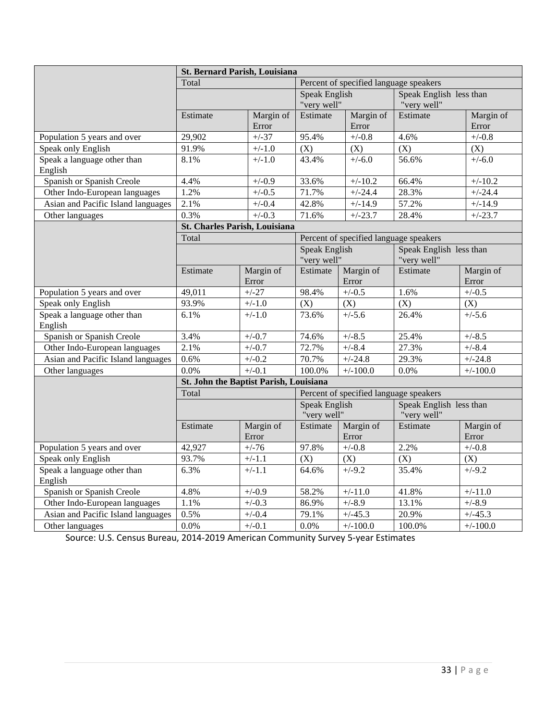|                                        | <b>St. Bernard Parish, Louisiana</b>   |                    |                                        |                    |                                        |                    |
|----------------------------------------|----------------------------------------|--------------------|----------------------------------------|--------------------|----------------------------------------|--------------------|
|                                        | Total                                  |                    | Percent of specified language speakers |                    |                                        |                    |
|                                        |                                        |                    | Speak English<br>"very well"           |                    | Speak English less than<br>"very well" |                    |
|                                        | Estimate                               | Margin of<br>Error | Estimate                               | Margin of<br>Error | Estimate                               | Margin of<br>Error |
| Population 5 years and over            | 29,902                                 | $+/-37$            | 95.4%                                  | $+/-0.8$           | 4.6%                                   | $+/-0.8$           |
| Speak only English                     | 91.9%                                  | $+/-1.0$           | (X)                                    | (X)                | (X)                                    | (X)                |
| Speak a language other than<br>English | 8.1%                                   | $+/-1.0$           | 43.4%                                  | $+/-6.0$           | 56.6%                                  | $+/-6.0$           |
| Spanish or Spanish Creole              | 4.4%                                   | $+/-0.9$           | 33.6%                                  | $+/-10.2$          | 66.4%                                  | $+/-10.2$          |
| Other Indo-European languages          | 1.2%                                   | $+/-0.5$           | 71.7%                                  | $+/-24.4$          | 28.3%                                  | $+/-24.4$          |
| Asian and Pacific Island languages     | 2.1%                                   | $+/-0.4$           | 42.8%                                  | $+/-14.9$          | 57.2%                                  | $+/-14.9$          |
| Other languages                        | 0.3%                                   | $+/-0.3$           | 71.6%                                  | $+/-23.7$          | 28.4%                                  | $+/-23.7$          |
|                                        | St. Charles Parish, Louisiana          |                    |                                        |                    |                                        |                    |
|                                        | Total                                  |                    | Percent of specified language speakers |                    |                                        |                    |
|                                        |                                        |                    | Speak English<br>"very well"           |                    | Speak English less than<br>"very well" |                    |
|                                        | Estimate                               | Margin of<br>Error | Estimate                               | Margin of<br>Error | Estimate                               | Margin of<br>Error |
| Population 5 years and over            | 49,011                                 | $+/-27$            | 98.4%                                  | $+/-0.5$           | 1.6%                                   | $+/-0.5$           |
| Speak only English                     | 93.9%                                  | $+/-1.0$           | (X)                                    | (X)                | $\overline{(X)}$                       | (X)                |
| Speak a language other than<br>English | 6.1%                                   | $+/-1.0$           | 73.6%                                  | $+/-5.6$           | 26.4%                                  | $+/-5.6$           |
| Spanish or Spanish Creole              | 3.4%                                   | $+/-0.7$           | 74.6%                                  | $+/-8.5$           | 25.4%                                  | $+/-8.5$           |
| Other Indo-European languages          | 2.1%                                   | $+/-0.7$           | 72.7%                                  | $+/-8.4$           | 27.3%                                  | $+/-8.4$           |
| Asian and Pacific Island languages     | 0.6%                                   | $+/-0.2$           | 70.7%                                  | $+/-24.8$          | 29.3%                                  | $+/-24.8$          |
| Other languages                        | 0.0%                                   | $+/-0.1$           | 100.0%                                 | $+/-100.0$         | 0.0%                                   | $+/-100.0$         |
|                                        | St. John the Baptist Parish, Louisiana |                    |                                        |                    |                                        |                    |
|                                        | Total                                  |                    | Percent of specified language speakers |                    |                                        |                    |
|                                        |                                        |                    | <b>Speak English</b><br>"very well"    |                    | Speak English less than<br>"very well" |                    |
|                                        | Estimate                               | Margin of<br>Error | Estimate                               | Margin of<br>Error | Estimate                               | Margin of<br>Error |
| Population 5 years and over            | 42,927                                 | $+/-76$            | 97.8%                                  | $+/-0.8$           | 2.2%                                   | $+/-0.8$           |
| Speak only English                     | 93.7%                                  | $+/-1.1$           | (X)                                    | (X)                | (X)                                    | (X)                |
| Speak a language other than<br>English | 6.3%                                   | $+/-1.1$           | 64.6%                                  | $+/-9.2$           | 35.4%                                  | $+/-9.2$           |
| Spanish or Spanish Creole              | 4.8%                                   | $+/-0.9$           | 58.2%                                  | $+/-11.0$          | 41.8%                                  | $+/-11.0$          |
| Other Indo-European languages          | 1.1%                                   | $+/-0.3$           | 86.9%                                  | $+/-8.9$           | 13.1%                                  | $+/-8.9$           |
| Asian and Pacific Island languages     | 0.5%                                   | $+/-0.4$           | 79.1%                                  | $+/-45.3$          | 20.9%                                  | $+/-45.3$          |
| Other languages                        | 0.0%                                   | $+/-0.1$           | 0.0%                                   | $+/-100.0$         | 100.0%                                 | $+/-100.0$         |

Source: U.S. Census Bureau, 2014-2019 American Community Survey 5-year Estimates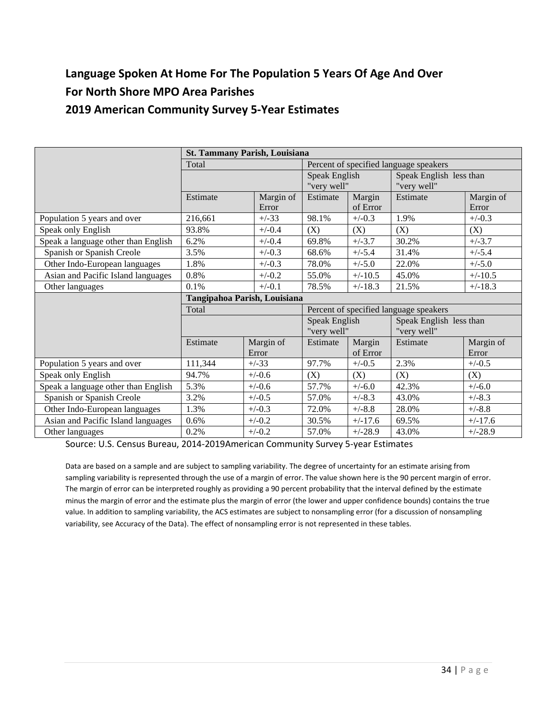# **Language Spoken At Home For The Population 5 Years Of Age And Over For North Shore MPO Area Parishes 2019 American Community Survey 5-Year Estimates**

| <b>St. Tammany Parish, Louisiana</b> |                              |                    |                                        |                    |                                        |                    |
|--------------------------------------|------------------------------|--------------------|----------------------------------------|--------------------|----------------------------------------|--------------------|
|                                      | Total                        |                    | Percent of specified language speakers |                    |                                        |                    |
|                                      |                              |                    | Speak English<br>"very well"           |                    | Speak English less than<br>"very well" |                    |
|                                      | Estimate                     | Margin of<br>Error | Estimate                               | Margin<br>of Error | Estimate                               | Margin of<br>Error |
| Population 5 years and over          | 216,661                      | $+/-33$            | 98.1%                                  | $+/-0.3$           | 1.9%                                   | $+/-0.3$           |
| Speak only English                   | 93.8%                        | $+/-0.4$           | (X)                                    | (X)                | (X)                                    | (X)                |
| Speak a language other than English  | 6.2%                         | $+/-0.4$           | 69.8%                                  | $+/-3.7$           | 30.2%                                  | $+/-3.7$           |
| Spanish or Spanish Creole            | 3.5%                         | $+/-0.3$           | 68.6%                                  | $+/-5.4$           | 31.4%                                  | $+/-5.4$           |
| Other Indo-European languages        | 1.8%                         | $+/-0.3$           | 78.0%                                  | $+/-5.0$           | 22.0%                                  | $+/-5.0$           |
| Asian and Pacific Island languages   | 0.8%                         | $+/-0.2$           | 55.0%                                  | $+/-10.5$          | 45.0%                                  | $+/-10.5$          |
| Other languages                      | 0.1%                         | $+/-0.1$           | 78.5%                                  | $+/-18.3$          | 21.5%                                  | $+/-18.3$          |
|                                      | Tangipahoa Parish, Louisiana |                    |                                        |                    |                                        |                    |
|                                      | Total                        |                    | Percent of specified language speakers |                    |                                        |                    |
|                                      |                              |                    | Speak English<br>"very well"           |                    | Speak English less than<br>"very well" |                    |
|                                      | Estimate                     | Margin of          | Estimate                               | Margin             | Estimate                               | Margin of          |
|                                      |                              | Error              |                                        | of Error           |                                        | Error              |
| Population 5 years and over          | 111,344                      | $+/-33$            | 97.7%                                  | $+/-0.5$           | 2.3%                                   | $+/-0.5$           |
| Speak only English                   | 94.7%                        | $+/-0.6$           | (X)                                    | (X)                | (X)                                    | (X)                |
| Speak a language other than English  | 5.3%                         | $+/-0.6$           | 57.7%                                  | $+/-6.0$           | 42.3%                                  | $+/-6.0$           |
| Spanish or Spanish Creole            | 3.2%                         | $+/-0.5$           | 57.0%                                  | $+/-8.3$           | 43.0%                                  | $+/-8.3$           |
| Other Indo-European languages        | 1.3%                         | $+/-0.3$           | 72.0%                                  | $+/-8.8$           | 28.0%                                  | $+/-8.8$           |
| Asian and Pacific Island languages   | 0.6%                         | $+/-0.2$           | 30.5%                                  | $+/-17.6$          | 69.5%                                  | $+/-17.6$          |
| Other languages                      | 0.2%                         | $+/-0.2$           | 57.0%                                  | $+/-28.9$          | 43.0%                                  | $+/-28.9$          |

Source: U.S. Census Bureau, 2014-2019American Community Survey 5-year Estimates

Data are based on a sample and are subject to sampling variability. The degree of uncertainty for an estimate arising from sampling variability is represented through the use of a margin of error. The value shown here is the 90 percent margin of error. The margin of error can be interpreted roughly as providing a 90 percent probability that the interval defined by the estimate minus the margin of error and the estimate plus the margin of error (the lower and upper confidence bounds) contains the true value. In addition to sampling variability, the ACS estimates are subject to nonsampling error (for a discussion of nonsampling variability, see Accuracy of the Data). The effect of nonsampling error is not represented in these tables.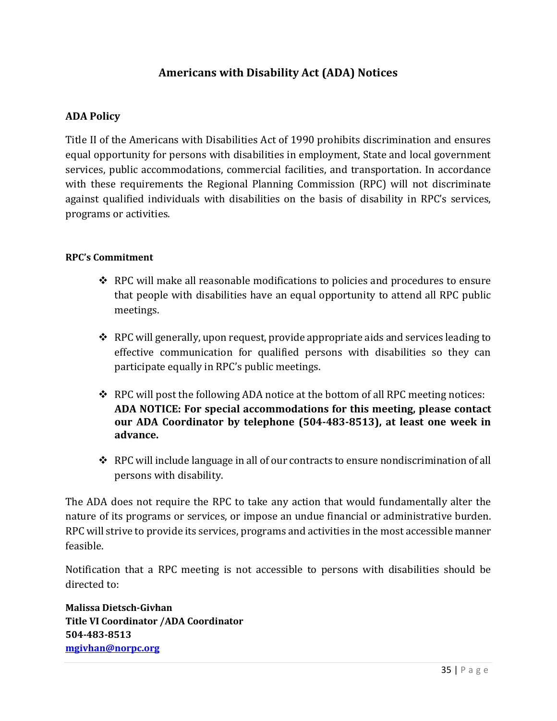# **Americans with Disability Act (ADA) Notices**

# **ADA Policy**

Title II of the Americans with Disabilities Act of 1990 prohibits discrimination and ensures equal opportunity for persons with disabilities in employment, State and local government services, public accommodations, commercial facilities, and transportation. In accordance with these requirements the Regional Planning Commission (RPC) will not discriminate against qualified individuals with disabilities on the basis of disability in RPC's services, programs or activities.

#### **RPC's Commitment**

- $\triangle$  RPC will make all reasonable modifications to policies and procedures to ensure that people with disabilities have an equal opportunity to attend all RPC public meetings.
- $\triangle$  RPC will generally, upon request, provide appropriate aids and services leading to effective communication for qualified persons with disabilities so they can participate equally in RPC's public meetings.
- \* RPC will post the following ADA notice at the bottom of all RPC meeting notices: **ADA NOTICE: For special accommodations for this meeting, please contact our ADA Coordinator by telephone (504-483-8513), at least one week in advance.**
- RPC will include language in all of our contracts to ensure nondiscrimination of all persons with disability.

The ADA does not require the RPC to take any action that would fundamentally alter the nature of its programs or services, or impose an undue financial or administrative burden. RPC will strive to provide its services, programs and activities in the most accessible manner feasible.

Notification that a RPC meeting is not accessible to persons with disabilities should be directed to:

**Malissa Dietsch-Givhan Title VI Coordinator /ADA Coordinator 504-483-8513 [mgivhan@norpc.org](mailto:mgivhan@norpc.org)**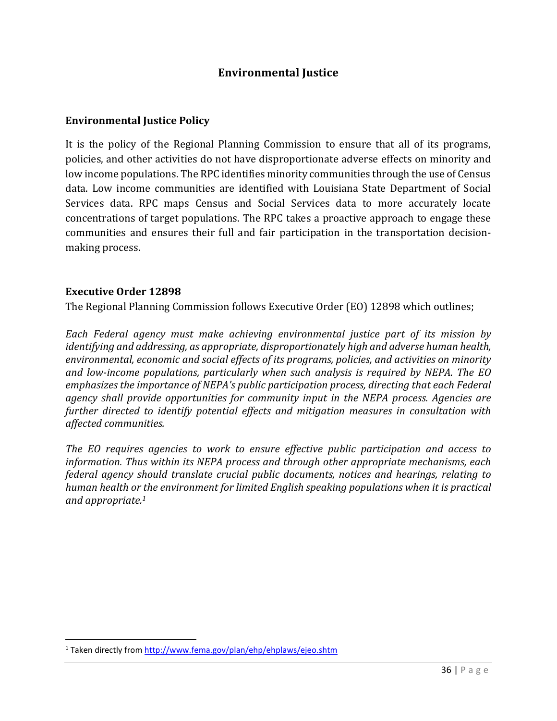# **Environmental Justice**

#### **Environmental Justice Policy**

It is the policy of the Regional Planning Commission to ensure that all of its programs, policies, and other activities do not have disproportionate adverse effects on minority and low income populations. The RPC identifies minority communities through the use of Census data. Low income communities are identified with Louisiana State Department of Social Services data. RPC maps Census and Social Services data to more accurately locate concentrations of target populations. The RPC takes a proactive approach to engage these communities and ensures their full and fair participation in the transportation decisionmaking process.

#### **Executive Order 12898**

The Regional Planning Commission follows Executive Order (EO) 12898 which outlines;

*Each Federal agency must make achieving environmental justice part of its mission by identifying and addressing, as appropriate, disproportionately high and adverse human health, environmental, economic and social effects of its programs, policies, and activities on minority and low-income populations, particularly when such analysis is required by NEPA. The EO emphasizes the importance of NEPA's public participation process, directing that each Federal agency shall provide opportunities for community input in the NEPA process. Agencies are further directed to identify potential effects and mitigation measures in consultation with affected communities.* 

*The EO requires agencies to work to ensure effective public participation and access to information. Thus within its NEPA process and through other appropriate mechanisms, each federal agency should translate crucial public documents, notices and hearings, relating to human health or the environment for limited English speaking populations when it is practical and appropriate.<sup>1</sup>*

<sup>&</sup>lt;sup>1</sup> Taken directly from<http://www.fema.gov/plan/ehp/ehplaws/ejeo.shtm>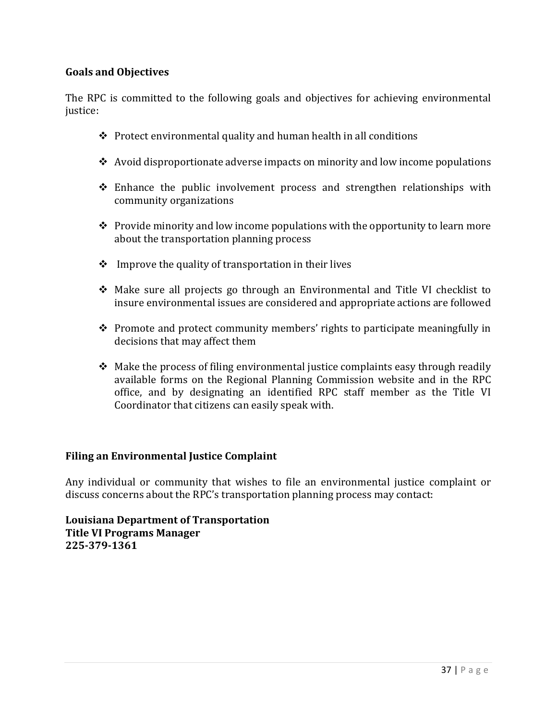## **Goals and Objectives**

The RPC is committed to the following goals and objectives for achieving environmental justice:

- $\triangle$  Protect environmental quality and human health in all conditions
- $\leftrightarrow$  Avoid disproportionate adverse impacts on minority and low income populations
- $\div$  Enhance the public involvement process and strengthen relationships with community organizations
- $\triangle$  Provide minority and low income populations with the opportunity to learn more about the transportation planning process
- $\cdot \cdot$  Improve the quality of transportation in their lives
- Make sure all projects go through an Environmental and Title VI checklist to insure environmental issues are considered and appropriate actions are followed
- $\triangle$  Promote and protect community members' rights to participate meaningfully in decisions that may affect them
- $\triangle$  Make the process of filing environmental justice complaints easy through readily available forms on the Regional Planning Commission website and in the RPC office, and by designating an identified RPC staff member as the Title VI Coordinator that citizens can easily speak with.

#### **Filing an Environmental Justice Complaint**

Any individual or community that wishes to file an environmental justice complaint or discuss concerns about the RPC's transportation planning process may contact:

**Louisiana Department of Transportation Title VI Programs Manager 225-379-1361**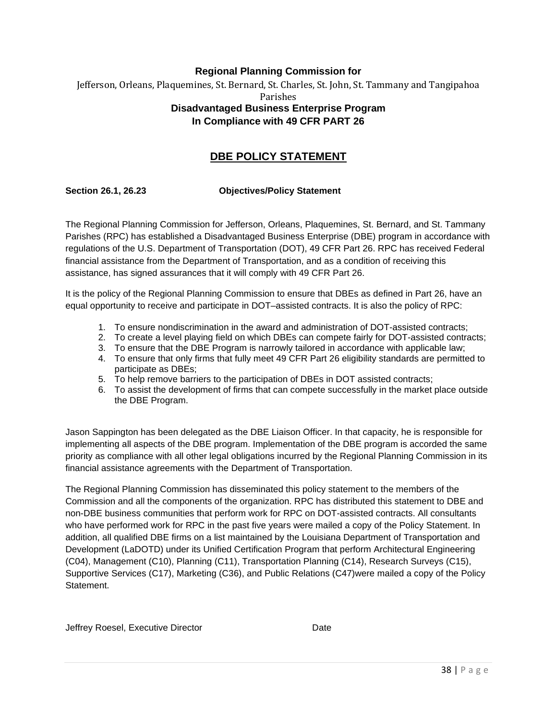## **Regional Planning Commission for**  Jefferson, Orleans, Plaquemines, St. Bernard, St. Charles, St. John, St. Tammany and Tangipahoa Parishes **Disadvantaged Business Enterprise Program In Compliance with 49 CFR PART 26**

# **DBE POLICY STATEMENT**

#### **Section 26.1, 26.23 Objectives/Policy Statement**

The Regional Planning Commission for Jefferson, Orleans, Plaquemines, St. Bernard, and St. Tammany Parishes (RPC) has established a Disadvantaged Business Enterprise (DBE) program in accordance with regulations of the U.S. Department of Transportation (DOT), 49 CFR Part 26. RPC has received Federal financial assistance from the Department of Transportation, and as a condition of receiving this assistance, has signed assurances that it will comply with 49 CFR Part 26.

It is the policy of the Regional Planning Commission to ensure that DBEs as defined in Part 26, have an equal opportunity to receive and participate in DOT–assisted contracts. It is also the policy of RPC:

- 1. To ensure nondiscrimination in the award and administration of DOT-assisted contracts;
- 2. To create a level playing field on which DBEs can compete fairly for DOT-assisted contracts;
- 3. To ensure that the DBE Program is narrowly tailored in accordance with applicable law;
- 4. To ensure that only firms that fully meet 49 CFR Part 26 eligibility standards are permitted to participate as DBEs;
- 5. To help remove barriers to the participation of DBEs in DOT assisted contracts;
- 6. To assist the development of firms that can compete successfully in the market place outside the DBE Program.

Jason Sappington has been delegated as the DBE Liaison Officer. In that capacity, he is responsible for implementing all aspects of the DBE program. Implementation of the DBE program is accorded the same priority as compliance with all other legal obligations incurred by the Regional Planning Commission in its financial assistance agreements with the Department of Transportation.

The Regional Planning Commission has disseminated this policy statement to the members of the Commission and all the components of the organization. RPC has distributed this statement to DBE and non-DBE business communities that perform work for RPC on DOT-assisted contracts. All consultants who have performed work for RPC in the past five years were mailed a copy of the Policy Statement. In addition, all qualified DBE firms on a list maintained by the Louisiana Department of Transportation and Development (LaDOTD) under its Unified Certification Program that perform Architectural Engineering (C04), Management (C10), Planning (C11), Transportation Planning (C14), Research Surveys (C15), Supportive Services (C17), Marketing (C36), and Public Relations (C47)were mailed a copy of the Policy Statement.

Jeffrey Roesel, Executive Director **Date** Date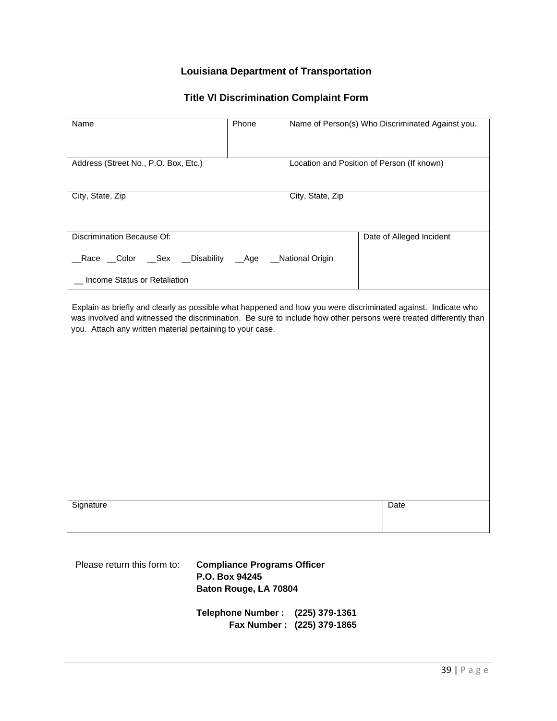# **Louisiana Department of Transportation**

# **Title VI Discrimination Complaint Form**

| Name                                                                                                                                                                                                                                                                                            | Phone |                                            | Name of Person(s) Who Discriminated Against you. |
|-------------------------------------------------------------------------------------------------------------------------------------------------------------------------------------------------------------------------------------------------------------------------------------------------|-------|--------------------------------------------|--------------------------------------------------|
| Address (Street No., P.O. Box, Etc.)                                                                                                                                                                                                                                                            |       | Location and Position of Person (If known) |                                                  |
| City, State, Zip                                                                                                                                                                                                                                                                                |       | City, State, Zip                           |                                                  |
| Discrimination Because Of:                                                                                                                                                                                                                                                                      |       |                                            | Date of Alleged Incident                         |
| _Race _Color _Sex _Disability _Age<br>Income Status or Retaliation                                                                                                                                                                                                                              |       | _National Origin                           |                                                  |
| Explain as briefly and clearly as possible what happened and how you were discriminated against. Indicate who<br>was involved and witnessed the discrimination. Be sure to include how other persons were treated differently than<br>you. Attach any written material pertaining to your case. |       |                                            |                                                  |
|                                                                                                                                                                                                                                                                                                 |       |                                            |                                                  |
| Signature                                                                                                                                                                                                                                                                                       |       |                                            | Date                                             |
|                                                                                                                                                                                                                                                                                                 |       |                                            |                                                  |

| Please return this form to: | <b>Compliance Programs Officer</b><br>P.O. Box 94245<br>Baton Rouge, LA 70804 |  |  |  |  |
|-----------------------------|-------------------------------------------------------------------------------|--|--|--|--|
|                             | Telephone Number: (225) 379-1361<br>Fax Number: (225) 379-1865                |  |  |  |  |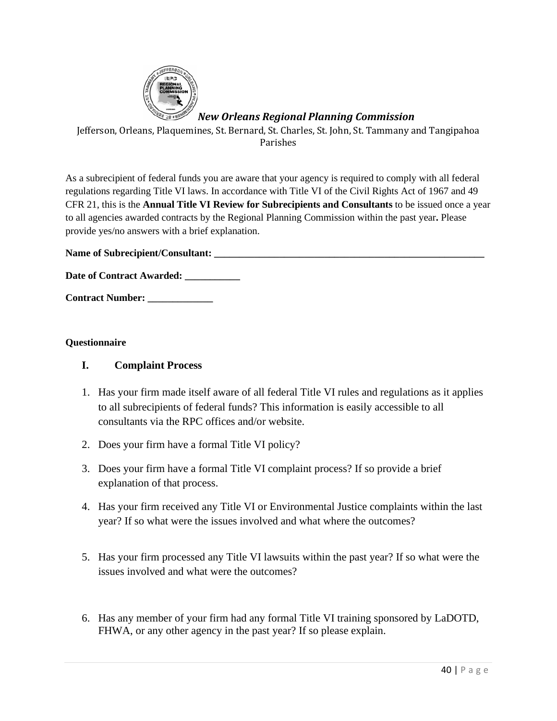

# *New Orleans Regional Planning Commission*

Jefferson, Orleans, Plaquemines, St. Bernard, St. Charles, St. John, St. Tammany and Tangipahoa Parishes

As a subrecipient of federal funds you are aware that your agency is required to comply with all federal regulations regarding Title VI laws. In accordance with Title VI of the Civil Rights Act of 1967 and 49 CFR 21, this is the **Annual Title VI Review for Subrecipients and Consultants** to be issued once a year to all agencies awarded contracts by the Regional Planning Commission within the past year**.** Please provide yes/no answers with a brief explanation.

**Name of Subrecipient/Consultant: \_\_\_\_\_\_\_\_\_\_\_\_\_\_\_\_\_\_\_\_\_\_\_\_\_\_\_\_\_\_\_\_\_\_\_\_\_\_\_\_\_\_\_\_\_\_\_\_\_\_\_\_\_\_** 

Date of Contract Awarded: \_\_\_\_\_\_\_\_\_

**Contract Number: \_\_\_\_\_\_\_\_\_\_\_\_\_** 

#### **Questionnaire**

#### **I. Complaint Process**

- 1. Has your firm made itself aware of all federal Title VI rules and regulations as it applies to all subrecipients of federal funds? This information is easily accessible to all consultants via the RPC offices and/or website.
- 2. Does your firm have a formal Title VI policy?
- 3. Does your firm have a formal Title VI complaint process? If so provide a brief explanation of that process.
- 4. Has your firm received any Title VI or Environmental Justice complaints within the last year? If so what were the issues involved and what where the outcomes?
- 5. Has your firm processed any Title VI lawsuits within the past year? If so what were the issues involved and what were the outcomes?
- 6. Has any member of your firm had any formal Title VI training sponsored by LaDOTD, FHWA, or any other agency in the past year? If so please explain.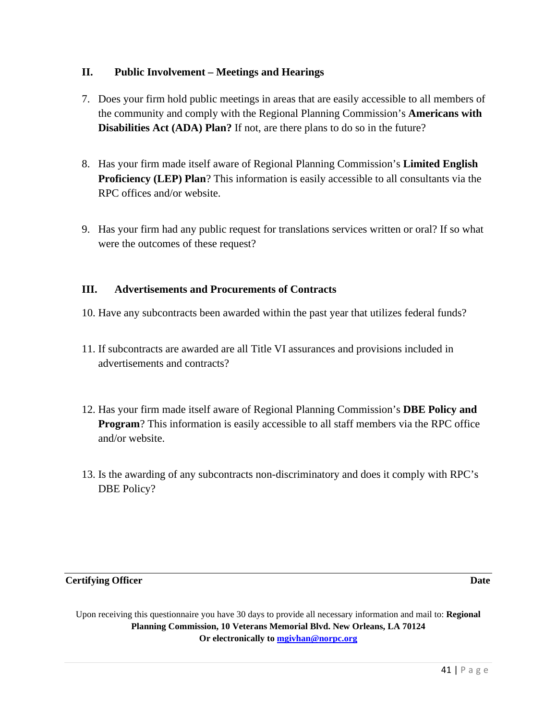#### **II. Public Involvement – Meetings and Hearings**

- 7. Does your firm hold public meetings in areas that are easily accessible to all members of the community and comply with the Regional Planning Commission's **Americans with Disabilities Act (ADA) Plan?** If not, are there plans to do so in the future?
- 8. Has your firm made itself aware of Regional Planning Commission's **Limited English Proficiency (LEP) Plan**? This information is easily accessible to all consultants via the RPC offices and/or website.
- 9. Has your firm had any public request for translations services written or oral? If so what were the outcomes of these request?

# **III. Advertisements and Procurements of Contracts**

- 10. Have any subcontracts been awarded within the past year that utilizes federal funds?
- 11. If subcontracts are awarded are all Title VI assurances and provisions included in advertisements and contracts?
- 12. Has your firm made itself aware of Regional Planning Commission's **DBE Policy and Program**? This information is easily accessible to all staff members via the RPC office and/or website.
- 13. Is the awarding of any subcontracts non-discriminatory and does it comply with RPC's DBE Policy?

#### **Certifying Officer Date**

Upon receiving this questionnaire you have 30 days to provide all necessary information and mail to: **Regional Planning Commission, 10 Veterans Memorial Blvd. New Orleans, LA 70124 Or electronically to [mgivhan@norpc.org](mailto:mgivhan@norpc.org)**